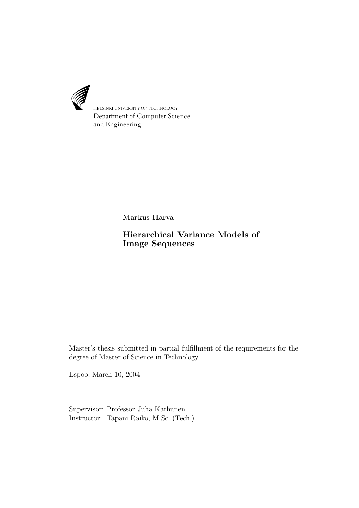

HELSINKI UNIVERSITY OF TECHNOLOGY Department of Computer Science and Engineering

Markus Harva

Hierarchical Variance Models of Image Sequences

Master's thesis submitted in partial fulfillment of the requirements for the degree of Master of Science in Technology

Espoo, March 10, 2004

Supervisor: Professor Juha Karhunen Instructor: Tapani Raiko, M.Sc. (Tech.)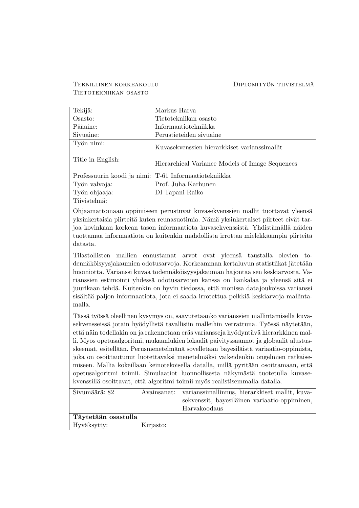#### Teknillinen korkeakoulu DIPLOMITYÖN TIIVISTELMÄ Tietotekniikan osasto

| Tekijä:                                               | Markus Harva                                    |
|-------------------------------------------------------|-------------------------------------------------|
| Osasto:                                               | Tietotekniikan osasto                           |
| Pääaine:                                              | Informaatiotekniikka                            |
| Sivuaine:                                             | Perustieteiden sivuaine                         |
| Työn nimi:                                            | Kuvasekvenssien hierarkkiset varianssimallit    |
| Title in English:                                     | Hierarchical Variance Models of Image Sequences |
| Professuurin koodi ja nimi: T-61 Informaatiotekniikka |                                                 |
| Työn valvoja:                                         | Prof. Juha Karhunen                             |
| Työn ohjaaja:                                         | DI Tapani Raiko                                 |

Tiivistelmä:

Ohjaamattomaan oppimiseen perustuvat kuvasekvenssien mallit tuottavat yleens¨a yksinkertaisia piirteitä kuten reunasuotimia. Nämä yksinkertaiset piirteet eivät tarjoa kovinkaan korkean tason informaatiota kuvasekvenssistä. Yhdistämällä näiden tuottamaa informaatiota on kuitenkin mahdollista irrottaa mielekkäämpiä piirteitä datasta.

Tilastollisten mallien ennustamat arvot ovat yleensä taustalla olevien todennäköisyysjakaumien odotusarvoja. Korkeamman kertaluvun statistiikat jätetään huomiotta. Varianssi kuvaa todennäköisyysjakauman hajontaa sen keskiarvosta. Varianssien estimointi yhdessä odotusarvojen kanssa on hankalaa ja yleensä sitä ei juurikaan tehdä. Kuitenkin on hyvin tiedossa, että monissa datajoukoissa varianssi sisältää paljon informaatiota, jota ei saada irrotettua pelkkiä keskiarvoja mallintamalla.

Tässä työssä oleellinen kysymys on, saavutetaanko varianssien mallintamisella kuvasekvensseissä jotain hyödyllistä tavallisiin malleihin verrattuna. Työssä näytetään, että näin todellakin on ja rakennetaan eräs variansseja hyödyntävä hierarkkinen malli. Myös opetusalgoritmi, mukaanlukien lokaalit päivityssäännöt ja globaalit alustusskeemat, esitellään. Perusmenetelmänä sovelletaan bayesiläistä variaatio-oppimista, joka on osoittautunut luotettavaksi menetelmäksi vaikeidenkin ongelmien ratkaisemiseen. Mallia kokeillaan keinotekoisella datalla, millä pyritään osoittamaan, että opetusalgoritmi toimii. Simulaatiot luonnollisesta näkymästä tuotetulla kuvasekvenssillä osoittavat, että algoritmi toimii myös realistisemmalla datalla.

| Sivumäärä: 82       |           | Avainsanat: varianssimallinnus, hierarkkiset mallit, kuva- |  |  |
|---------------------|-----------|------------------------------------------------------------|--|--|
|                     |           | sekvenssit, bayesiläinen variaatio-oppiminen,              |  |  |
|                     |           | Harvakoodaus                                               |  |  |
| Täytetään osastolla |           |                                                            |  |  |
| Hyväksytty:         | Kirjasto: |                                                            |  |  |
|                     |           |                                                            |  |  |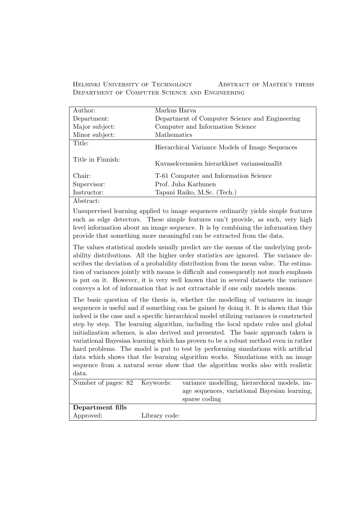Helsinki University of Technology Abstract of Master's thesis Department of Computer Science and Engineering

| Author:                           | Markus Harva                                    |
|-----------------------------------|-------------------------------------------------|
| Department:                       | Department of Computer Science and Engineering  |
| Major subject:                    | Computer and Information Science                |
| Minor subject:                    | Mathematics                                     |
| Title:                            | Hierarchical Variance Models of Image Sequences |
| Title in Finnish:                 | Kuvasekvenssien hierarkkiset varianssimallit    |
| Chair:                            | T-61 Computer and Information Science           |
| Supervisor:                       | Prof. Juha Karhunen                             |
| Instructor:                       | Tapani Raiko, M.Sc. (Tech.)                     |
| $\lambda$ 1 $\lambda$ 1 $\lambda$ |                                                 |

Abstract:

Unsupervised learning applied to image sequences ordinarily yields simple features such as edge detectors. These simple features can't provide, as such, very high level information about an image sequence. It is by combining the information they provide that something more meaningful can be extracted from the data.

The values statistical models usually predict are the means of the underlying probability distributions. All the higher order statistics are ignored. The variance describes the deviation of a probability distribution from the mean value. The estimation of variances jointly with means is difficult and consequently not much emphasis is put on it. However, it is very well known that in several datasets the variance conveys a lot of information that is not extractable if one only models means.

The basic question of the thesis is, whether the modelling of variances in image sequences is useful and if something can be gained by doing it. It is shown that this indeed is the case and a specific hierarchical model utilizing variances is constructed step by step. The learning algorithm, including the local update rules and global initialization schemes, is also derived and presented. The basic approach taken is variational Bayesian learning which has proven to be a robust method even in rather hard problems. The model is put to test by performing simulations with artificial data which shows that the learning algorithm works. Simulations with an image sequence from a natural scene show that the algorithm works also with realistic data.

| Number of pages: 82 Keywords: |               | variance modelling, hierarchical models, im-  |
|-------------------------------|---------------|-----------------------------------------------|
|                               |               | age sequences, variational Bayesian learning, |
|                               |               | sparse coding                                 |
| Department fills              |               |                                               |
| Approved:                     | Library code: |                                               |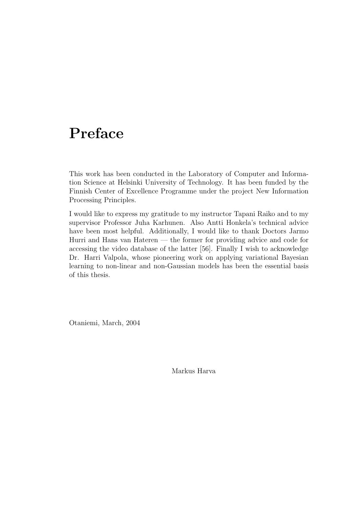# Preface

This work has been conducted in the Laboratory of Computer and Information Science at Helsinki University of Technology. It has been funded by the Finnish Center of Excellence Programme under the project New Information Processing Principles.

I would like to express my gratitude to my instructor Tapani Raiko and to my supervisor Professor Juha Karhunen. Also Antti Honkela's technical advice have been most helpful. Additionally, I would like to thank Doctors Jarmo Hurri and Hans van Hateren — the former for providing advice and code for accessing the video database of the latter [56]. Finally I wish to acknowledge Dr. Harri Valpola, whose pioneering work on applying variational Bayesian learning to non-linear and non-Gaussian models has been the essential basis of this thesis.

Otaniemi, March, 2004

Markus Harva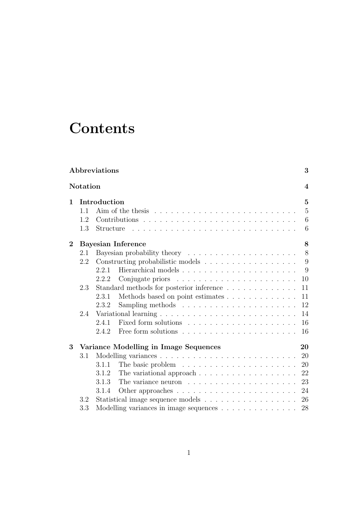# **Contents**

|                   |          | <b>Abbreviations</b> |                                                                             |  |   |  | 3                |
|-------------------|----------|----------------------|-----------------------------------------------------------------------------|--|---|--|------------------|
|                   | Notation |                      |                                                                             |  |   |  | $\boldsymbol{4}$ |
| 1<br>Introduction |          |                      |                                                                             |  | 5 |  |                  |
|                   | 1.1      |                      |                                                                             |  |   |  | $\overline{5}$   |
|                   | 1.2      |                      |                                                                             |  |   |  | 6                |
|                   | 1.3      | Structure            |                                                                             |  |   |  | 6                |
| $\overline{2}$    |          |                      | <b>Bayesian Inference</b>                                                   |  |   |  | 8                |
|                   | 2.1      |                      |                                                                             |  |   |  | 8                |
|                   | 2.2      |                      |                                                                             |  |   |  | 9                |
|                   |          | 2.2.1                |                                                                             |  |   |  | 9                |
|                   |          | 2.2.2                |                                                                             |  |   |  | 10               |
|                   | 2.3      |                      | Standard methods for posterior inference                                    |  |   |  | 11               |
|                   |          | 2.3.1                | Methods based on point estimates                                            |  |   |  | 11               |
|                   |          | 2.3.2                |                                                                             |  |   |  | 12               |
|                   | 2.4      |                      |                                                                             |  |   |  | 14               |
|                   |          | 2.4.1                |                                                                             |  |   |  | 16               |
|                   |          | 2.4.2                |                                                                             |  |   |  | 16               |
| 3                 |          |                      | Variance Modelling in Image Sequences                                       |  |   |  | 20               |
|                   | $3.1\,$  |                      |                                                                             |  |   |  | 20               |
|                   |          | 3.1.1                | The basic problem $\dots \dots \dots \dots \dots \dots \dots \dots$         |  |   |  | 20               |
|                   |          | 3.1.2                | The variational approach $\dots \dots \dots \dots \dots \dots$              |  |   |  | 22               |
|                   |          | 3.1.3                | The variance neuron $\dots \dots \dots \dots \dots \dots \dots$             |  |   |  | 23               |
|                   |          | 3.1.4                | Other approaches $\ldots \ldots \ldots \ldots \ldots \ldots \ldots$         |  |   |  | 24               |
|                   | 3.2      |                      |                                                                             |  |   |  | 26               |
|                   | 3.3      |                      | Modelling variances in image sequences $\ldots \ldots \ldots \ldots \ldots$ |  |   |  | 28               |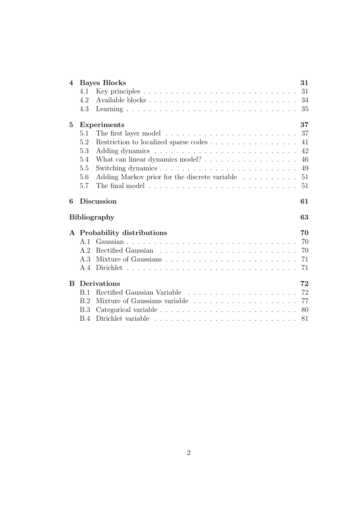| $\overline{\mathcal{A}}$ |                   | <b>Bayes Blocks</b>                           | 31       |  |
|--------------------------|-------------------|-----------------------------------------------|----------|--|
|                          | 4.1               |                                               | 31       |  |
|                          | 4.2               |                                               | 34       |  |
|                          | 4.3               |                                               | 35       |  |
| $\bf{5}$                 |                   | <b>Experiments</b>                            | 37       |  |
|                          | 5.1               |                                               | 37       |  |
|                          | 5.2               | Restriction to localized sparse codes         | 41       |  |
|                          | 5.3               |                                               | 42       |  |
|                          | 5.4               |                                               | 46       |  |
|                          | 5.5               |                                               | 49       |  |
|                          | 5.6               | Adding Markov prior for the discrete variable | 51       |  |
|                          | 5.7               |                                               | 51       |  |
|                          | <b>Discussion</b> |                                               |          |  |
| 6                        |                   |                                               | 61       |  |
|                          |                   | <b>Bibliography</b>                           | 63       |  |
|                          |                   |                                               |          |  |
|                          | A <sub>1</sub>    | A Probability distributions                   | 70       |  |
|                          | A.2               |                                               | 70       |  |
|                          | A 3               |                                               | 70       |  |
|                          | A.4               |                                               | 71<br>71 |  |
|                          |                   |                                               |          |  |
| B                        |                   | Derivations                                   | 72       |  |
|                          | <b>B.1</b>        |                                               | 72       |  |
|                          | B.2               |                                               | 77       |  |
|                          | <b>B.3</b>        |                                               | 80       |  |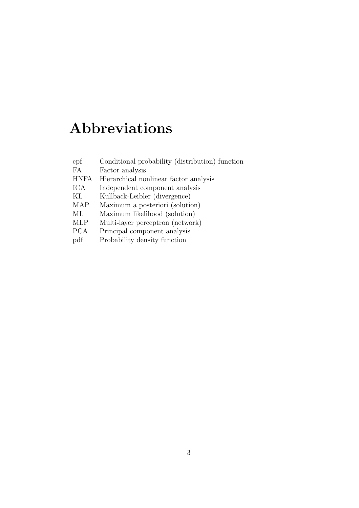# Abbreviations

| $\rm{cpf}$ | Conditional probability (distribution) function |
|------------|-------------------------------------------------|
| FA         | Factor analysis                                 |
|            | HNFA Hierarchical nonlinear factor analysis     |

ICA Independent component analysis<br>KL Kullback-Leibler (divergence) Kullback-Leibler (divergence)

MAP Maximum a posteriori (solution) ML Maximum likelihood (solution) MLP Multi-layer perceptron (network) PCA Principal component analysis pdf Probability density function

3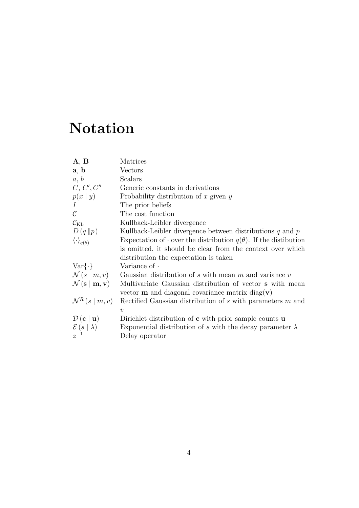# Notation

| $\mathbf{A}, \mathbf{B}$                              | Matrices                                                                      |
|-------------------------------------------------------|-------------------------------------------------------------------------------|
| a, b                                                  | Vectors                                                                       |
| a, b                                                  | Scalars                                                                       |
| C, C', C''                                            | Generic constants in derivations                                              |
| p(x   y)                                              | Probability distribution of $x$ given $y$                                     |
| $\overline{I}$                                        | The prior beliefs                                                             |
| $\mathcal{C}$                                         | The cost function                                                             |
| $\mathcal{C}_{\mathrm{KL}}$                           | Kullback-Leibler divergence                                                   |
| D(q  p)                                               | Kullback-Leibler divergence between distributions $q$ and $p$                 |
| $\langle \cdot \rangle_{q(\theta)}$                   | Expectation of $\cdot$ over the distribution $q(\theta)$ . If the distibution |
|                                                       | is omitted, it should be clear from the context over which                    |
|                                                       | distribution the expectation is taken                                         |
| $Var\{\cdot\}$                                        | Variance of $\cdot$                                                           |
| $\mathcal{N}(s m,v)$                                  | Gaussian distribution of $s$ with mean $m$ and variance $v$                   |
| $\mathcal{N}(\mathbf{s} \mid \mathbf{m}, \mathbf{v})$ | Multivariate Gaussian distribution of vector <b>s</b> with mean               |
|                                                       | vector $\mathbf m$ and diagonal covariance matrix diag( $\mathbf v$ )         |
| $\mathcal{N}^R(s \mid m, v)$                          | Rectified Gaussian distribution of $s$ with parameters $m$ and                |
|                                                       | $\eta$                                                                        |
| $\mathcal{D}(\mathbf{c} \mid \mathbf{u})$             | Dirichlet distribution of $\bf{c}$ with prior sample counts $\bf{u}$          |
| $\mathcal{E}(s   \lambda)$                            | Exponential distribution of s with the decay parameter $\lambda$              |
| $z^{-1}$                                              | Delay operator                                                                |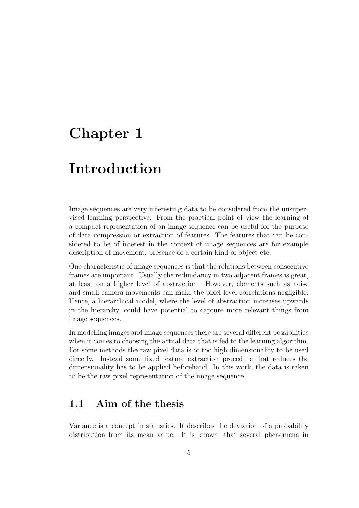# Chapter 1

# Introduction

Image sequences are very interesting data to be considered from the unsupervised learning perspective. From the practical point of view the learning of a compact representation of an image sequence can be useful for the purpose of data compression or extraction of features. The features that can be considered to be of interest in the context of image sequences are for example description of movement, presence of a certain kind of object etc.

One characteristic of image sequences is that the relations between consecutive frames are important. Usually the redundancy in two adjacent frames is great, at least on a higher level of abstraction. However, elements such as noise and small camera movements can make the pixel level correlations negligible. Hence, a hierarchical model, where the level of abstraction increases upwards in the hierarchy, could have potential to capture more relevant things from image sequences.

In modelling images and image sequences there are several different possibilities when it comes to choosing the actual data that is fed to the learning algorithm. For some methods the raw pixel data is of too high dimensionality to be used directly. Instead some fixed feature extraction procedure that reduces the dimensionality has to be applied beforehand. In this work, the data is taken to be the raw pixel representation of the image sequence.

### 1.1 Aim of the thesis

Variance is a concept in statistics. It describes the deviation of a probability distribution from its mean value. It is known, that several phenomena in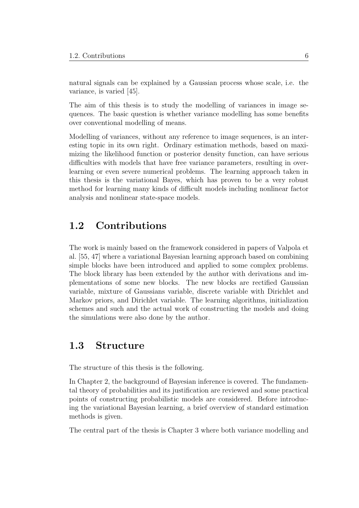natural signals can be explained by a Gaussian process whose scale, i.e. the variance, is varied [45].

The aim of this thesis is to study the modelling of variances in image sequences. The basic question is whether variance modelling has some benefits over conventional modelling of means.

Modelling of variances, without any reference to image sequences, is an interesting topic in its own right. Ordinary estimation methods, based on maximizing the likelihood function or posterior density function, can have serious difficulties with models that have free variance parameters, resulting in overlearning or even severe numerical problems. The learning approach taken in this thesis is the variational Bayes, which has proven to be a very robust method for learning many kinds of difficult models including nonlinear factor analysis and nonlinear state-space models.

### 1.2 Contributions

The work is mainly based on the framework considered in papers of Valpola et al. [55, 47] where a variational Bayesian learning approach based on combining simple blocks have been introduced and applied to some complex problems. The block library has been extended by the author with derivations and implementations of some new blocks. The new blocks are rectified Gaussian variable, mixture of Gaussians variable, discrete variable with Dirichlet and Markov priors, and Dirichlet variable. The learning algorithms, initialization schemes and such and the actual work of constructing the models and doing the simulations were also done by the author.

### 1.3 Structure

The structure of this thesis is the following.

In Chapter 2, the background of Bayesian inference is covered. The fundamental theory of probabilities and its justification are reviewed and some practical points of constructing probabilistic models are considered. Before introducing the variational Bayesian learning, a brief overview of standard estimation methods is given.

The central part of the thesis is Chapter 3 where both variance modelling and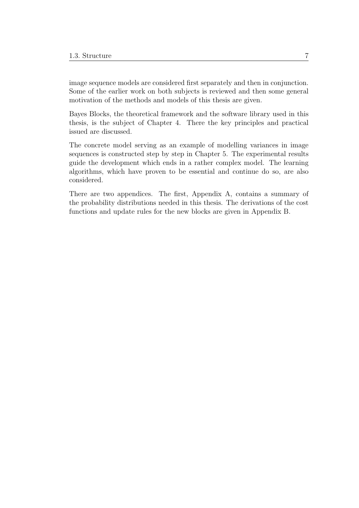image sequence models are considered first separately and then in conjunction. Some of the earlier work on both subjects is reviewed and then some general motivation of the methods and models of this thesis are given.

Bayes Blocks, the theoretical framework and the software library used in this thesis, is the subject of Chapter 4. There the key principles and practical issued are discussed.

The concrete model serving as an example of modelling variances in image sequences is constructed step by step in Chapter 5. The experimental results guide the development which ends in a rather complex model. The learning algorithms, which have proven to be essential and continue do so, are also considered.

There are two appendices. The first, Appendix A, contains a summary of the probability distributions needed in this thesis. The derivations of the cost functions and update rules for the new blocks are given in Appendix B.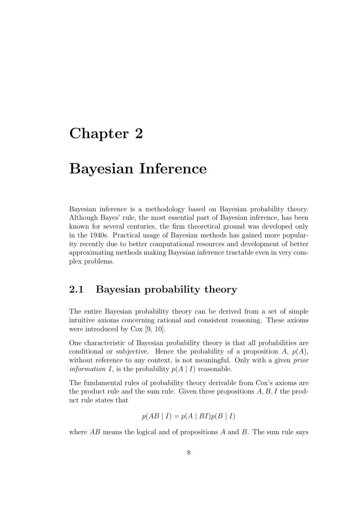# Chapter 2

# Bayesian Inference

Bayesian inference is a methodology based on Bayesian probability theory. Although Bayes' rule, the most essential part of Bayesian inference, has been known for several centuries, the firm theoretical ground was developed only in the 1940s. Practical usage of Bayesian methods has gained more popularity recently due to better computational resources and development of better approximating methods making Bayesian inference tractable even in very complex problems.

### 2.1 Bayesian probability theory

The entire Bayesian probability theory can be derived from a set of simple intuitive axioms concerning rational and consistent reasoning. These axioms were introduced by Cox [9, 10].

One characteristic of Bayesian probability theory is that all probabilities are conditional or subjective. Hence the probability of a proposition A,  $p(A)$ , without reference to any context, is not meaningful. Only with a given prior *information I*, is the probability  $p(A | I)$  reasonable.

The fundamental rules of probability theory derivable from Cox's axioms are the product rule and the sum rule. Given three propositions  $A, B, I$  the product rule states that

$$
p(AB | I) = p(A | BI)p(B | I)
$$

where  $AB$  means the logical and of propositions  $A$  and  $B$ . The sum rule says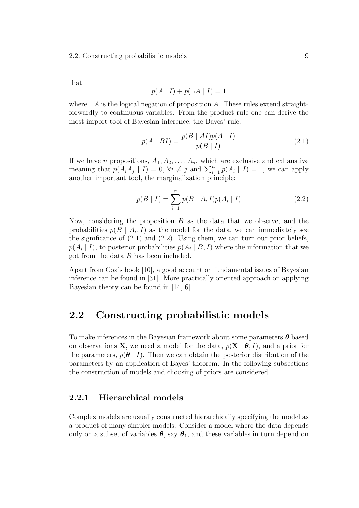that

$$
p(A | I) + p(\neg A | I) = 1
$$

where  $\neg A$  is the logical negation of proposition A. These rules extend straightforwardly to continuous variables. From the product rule one can derive the most import tool of Bayesian inference, the Bayes' rule:

$$
p(A \mid BI) = \frac{p(B \mid AI)p(A \mid I)}{p(B \mid I)}
$$
\n(2.1)

If we have *n* propositions,  $A_1, A_2, \ldots, A_n$ , which are exclusive and exhaustive meaning that  $p(A_iA_j \mid I) = 0$ ,  $\forall i \neq j$  and  $\sum_{i=1}^n p(A_i \mid I) = 1$ , we can apply another important tool, the marginalization principle:

$$
p(B | I) = \sum_{i=1}^{n} p(B | A_i I) p(A_i | I)
$$
 (2.2)

Now, considering the proposition  $B$  as the data that we observe, and the probabilities  $p(B \mid A_i, I)$  as the model for the data, we can immediately see the significance of  $(2.1)$  and  $(2.2)$ . Using them, we can turn our prior beliefs,  $p(A_i | I)$ , to posterior probabilities  $p(A_i | B, I)$  where the information that we got from the data B has been included.

Apart from Cox's book [10], a good account on fundamental issues of Bayesian inference can be found in [31]. More practically oriented approach on applying Bayesian theory can be found in [14, 6].

### 2.2 Constructing probabilistic models

To make inferences in the Bayesian framework about some parameters  $\boldsymbol{\theta}$  based on observations **X**, we need a model for the data,  $p(\mathbf{X} | \boldsymbol{\theta}, I)$ , and a prior for the parameters,  $p(\theta | I)$ . Then we can obtain the posterior distribution of the parameters by an application of Bayes' theorem. In the following subsections the construction of models and choosing of priors are considered.

#### 2.2.1 Hierarchical models

Complex models are usually constructed hierarchically specifying the model as a product of many simpler models. Consider a model where the data depends only on a subset of variables  $\theta$ , say  $\theta_1$ , and these variables in turn depend on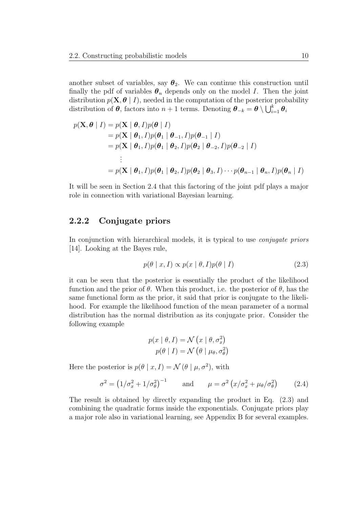another subset of variables, say  $\theta_2$ . We can continue this construction until finally the pdf of variables  $\theta_n$  depends only on the model I. Then the joint distribution  $p(\mathbf{X}, \boldsymbol{\theta} \mid I)$ , needed in the computation of the posterior probability distribution of  $\theta$ , factors into  $n+1$  terms. Denoting  $\theta_{-k} = \theta \setminus \bigcup_{i=1}^{k} \theta_i$ 

$$
p(\mathbf{X}, \boldsymbol{\theta} | I) = p(\mathbf{X} | \boldsymbol{\theta}, I)p(\boldsymbol{\theta} | I)
$$
  
=  $p(\mathbf{X} | \boldsymbol{\theta}_1, I)p(\boldsymbol{\theta}_1 | \boldsymbol{\theta}_{-1}, I)p(\boldsymbol{\theta}_{-1} | I)$   
=  $p(\mathbf{X} | \boldsymbol{\theta}_1, I)p(\boldsymbol{\theta}_1 | \boldsymbol{\theta}_2, I)p(\boldsymbol{\theta}_2 | \boldsymbol{\theta}_{-2}, I)p(\boldsymbol{\theta}_{-2} | I)$   
:  
=  $p(\mathbf{X} | \boldsymbol{\theta}_1, I)p(\boldsymbol{\theta}_1 | \boldsymbol{\theta}_2, I)p(\boldsymbol{\theta}_2 | \boldsymbol{\theta}_3, I) \cdots p(\boldsymbol{\theta}_{n-1} | \boldsymbol{\theta}_n, I)p(\boldsymbol{\theta}_n | I)$ 

It will be seen in Section 2.4 that this factoring of the joint pdf plays a major role in connection with variational Bayesian learning.

#### 2.2.2 Conjugate priors

In conjunction with hierarchical models, it is typical to use *conjugate priors* [14]. Looking at the Bayes rule,

$$
p(\theta \mid x, I) \propto p(x \mid \theta, I)p(\theta \mid I)
$$
\n(2.3)

it can be seen that the posterior is essentially the product of the likelihood function and the prior of  $\theta$ . When this product, i.e. the posterior of  $\theta$ , has the same functional form as the prior, it said that prior is conjugate to the likelihood. For example the likelihood function of the mean parameter of a normal distribution has the normal distribution as its conjugate prior. Consider the following example

$$
p(x | \theta, I) = \mathcal{N}(x | \theta, \sigma_x^2)
$$

$$
p(\theta | I) = \mathcal{N}(\theta | \mu_\theta, \sigma_\theta^2)
$$

Here the posterior is  $p(\theta | x, I) = \mathcal{N}(\theta | \mu, \sigma^2)$ , with

$$
\sigma^2 = \left(1/\sigma_x^2 + 1/\sigma_\theta^2\right)^{-1} \quad \text{and} \quad \mu = \sigma^2 \left(x/\sigma_x^2 + \mu_\theta/\sigma_\theta^2\right) \tag{2.4}
$$

The result is obtained by directly expanding the product in Eq. (2.3) and combining the quadratic forms inside the exponentials. Conjugate priors play a major role also in variational learning, see Appendix B for several examples.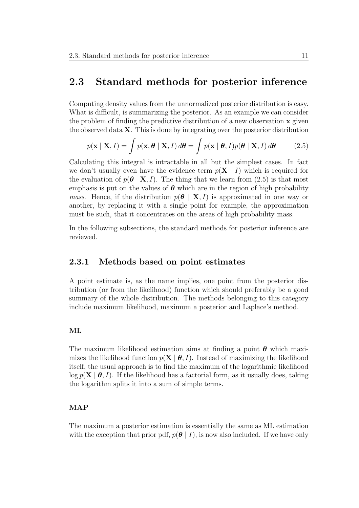### 2.3 Standard methods for posterior inference

Computing density values from the unnormalized posterior distribution is easy. What is difficult, is summarizing the posterior. As an example we can consider the problem of finding the predictive distribution of a new observation  $\bf{x}$  given the observed data  $X$ . This is done by integrating over the posterior distribution

$$
p(\mathbf{x} \mid \mathbf{X}, I) = \int p(\mathbf{x}, \boldsymbol{\theta} \mid \mathbf{X}, I) d\boldsymbol{\theta} = \int p(\mathbf{x} \mid \boldsymbol{\theta}, I) p(\boldsymbol{\theta} \mid \mathbf{X}, I) d\boldsymbol{\theta}
$$
 (2.5)

Calculating this integral is intractable in all but the simplest cases. In fact we don't usually even have the evidence term  $p(X \mid I)$  which is required for the evaluation of  $p(\theta | X, I)$ . The thing that we learn from (2.5) is that most emphasis is put on the values of  $\theta$  which are in the region of high probability *mass.* Hence, if the distribution  $p(\theta | X, I)$  is approximated in one way or another, by replacing it with a single point for example, the approximation must be such, that it concentrates on the areas of high probability mass.

In the following subsections, the standard methods for posterior inference are reviewed.

#### 2.3.1 Methods based on point estimates

A point estimate is, as the name implies, one point from the posterior distribution (or from the likelihood) function which should preferably be a good summary of the whole distribution. The methods belonging to this category include maximum likelihood, maximum a posterior and Laplace's method.

#### ML

The maximum likelihood estimation aims at finding a point  $\theta$  which maximizes the likelihood function  $p(X | \theta, I)$ . Instead of maximizing the likelihood itself, the usual approach is to find the maximum of the logarithmic likelihood  $\log p(X | \theta, I)$ . If the likelihood has a factorial form, as it usually does, taking the logarithm splits it into a sum of simple terms.

#### MAP

The maximum a posterior estimation is essentially the same as ML estimation with the exception that prior pdf,  $p(\theta | I)$ , is now also included. If we have only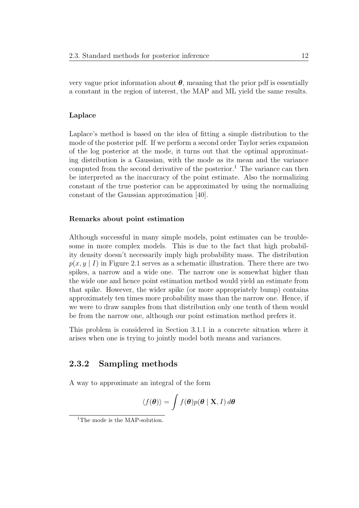very vague prior information about  $\theta$ , meaning that the prior pdf is essentially a constant in the region of interest, the MAP and ML yield the same results.

#### Laplace

Laplace's method is based on the idea of fitting a simple distribution to the mode of the posterior pdf. If we perform a second order Taylor series expansion of the log posterior at the mode, it turns out that the optimal approximating distribution is a Gaussian, with the mode as its mean and the variance computed from the second derivative of the posterior.<sup>1</sup> The variance can then be interpreted as the inaccuracy of the point estimate. Also the normalizing constant of the true posterior can be approximated by using the normalizing constant of the Gaussian approximation [40].

#### Remarks about point estimation

Although successful in many simple models, point estimates can be troublesome in more complex models. This is due to the fact that high probability density doesn't necessarily imply high probability mass. The distribution  $p(x,y | I)$  in Figure 2.1 serves as a schematic illustration. There there are two spikes, a narrow and a wide one. The narrow one is somewhat higher than the wide one and hence point estimation method would yield an estimate from that spike. However, the wider spike (or more appropriately bump) contains approximately ten times more probability mass than the narrow one. Hence, if we were to draw samples from that distribution only one tenth of them would be from the narrow one, although our point estimation method prefers it.

This problem is considered in Section 3.1.1 in a concrete situation where it arises when one is trying to jointly model both means and variances.

#### 2.3.2 Sampling methods

A way to approximate an integral of the form

$$
\langle f(\boldsymbol{\theta}) \rangle = \int f(\boldsymbol{\theta}) p(\boldsymbol{\theta} \mid \mathbf{X}, I) d\boldsymbol{\theta}
$$

<sup>&</sup>lt;sup>1</sup>The mode is the MAP-solution.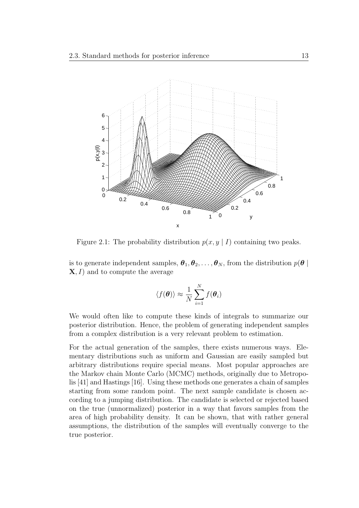

Figure 2.1: The probability distribution  $p(x, y \mid I)$  containing two peaks.

is to generate independent samples,  $\theta_1, \theta_2, \ldots, \theta_N$ , from the distribution  $p(\theta | \theta)$  $X, I$  and to compute the average

$$
\langle f(\boldsymbol{\theta}) \rangle \approx \frac{1}{N} \sum_{i=1}^{N} f(\boldsymbol{\theta}_i)
$$

We would often like to compute these kinds of integrals to summarize our posterior distribution. Hence, the problem of generating independent samples from a complex distribution is a very relevant problem to estimation.

For the actual generation of the samples, there exists numerous ways. Elementary distributions such as uniform and Gaussian are easily sampled but arbitrary distributions require special means. Most popular approaches are the Markov chain Monte Carlo (MCMC) methods, originally due to Metropolis [41] and Hastings [16]. Using these methods one generates a chain of samples starting from some random point. The next sample candidate is chosen according to a jumping distribution. The candidate is selected or rejected based on the true (unnormalized) posterior in a way that favors samples from the area of high probability density. It can be shown, that with rather general assumptions, the distribution of the samples will eventually converge to the true posterior.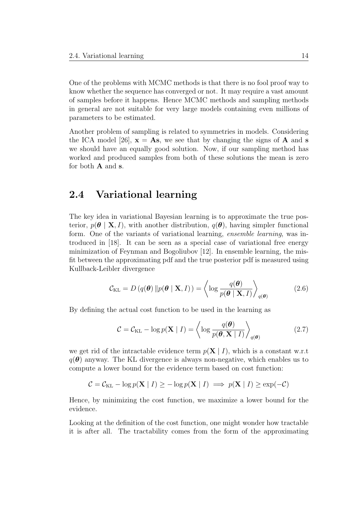One of the problems with MCMC methods is that there is no fool proof way to know whether the sequence has converged or not. It may require a vast amount of samples before it happens. Hence MCMC methods and sampling methods in general are not suitable for very large models containing even millions of parameters to be estimated.

Another problem of sampling is related to symmetries in models. Considering the ICA model [26],  $\mathbf{x} = \mathbf{A}\mathbf{s}$ , we see that by changing the signs of  $\mathbf{A}$  and  $\mathbf{s}$ we should have an equally good solution. Now, if our sampling method has worked and produced samples from both of these solutions the mean is zero for both A and s.

### 2.4 Variational learning

The key idea in variational Bayesian learning is to approximate the true posterior,  $p(\theta | \mathbf{X}, I)$ , with another distribution,  $q(\theta)$ , having simpler functional form. One of the variants of variational learning, ensemble learning, was introduced in [18]. It can be seen as a special case of variational free energy minimization of Feynman and Bogoliubov [12]. In ensemble learning, the misfit between the approximating pdf and the true posterior pdf is measured using Kullback-Leibler divergence

$$
C_{\text{KL}} = D\left(q(\boldsymbol{\theta}) \left\| p(\boldsymbol{\theta} \mid \mathbf{X}, I)\right.\right) = \left\langle \log \frac{q(\boldsymbol{\theta})}{p(\boldsymbol{\theta} \mid \mathbf{X}, I)} \right\rangle_{q(\boldsymbol{\theta})} \tag{2.6}
$$

By defining the actual cost function to be used in the learning as

$$
\mathcal{C} = \mathcal{C}_{\text{KL}} - \log p(\mathbf{X} \mid I) = \left\langle \log \frac{q(\boldsymbol{\theta})}{p(\boldsymbol{\theta}, \mathbf{X} \mid I)} \right\rangle_{q(\boldsymbol{\theta})}
$$
(2.7)

we get rid of the intractable evidence term  $p(X | I)$ , which is a constant w.r.t  $q(\theta)$  anyway. The KL divergence is always non-negative, which enables us to compute a lower bound for the evidence term based on cost function:

$$
C = C_{\text{KL}} - \log p(\mathbf{X} \mid I) \ge -\log p(\mathbf{X} \mid I) \implies p(\mathbf{X} \mid I) \ge \exp(-C)
$$

Hence, by minimizing the cost function, we maximize a lower bound for the evidence.

Looking at the definition of the cost function, one might wonder how tractable it is after all. The tractability comes from the form of the approximating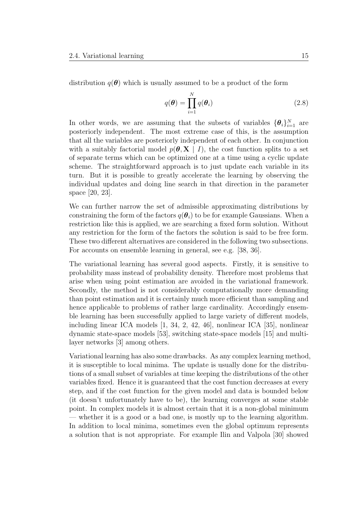distribution  $q(\theta)$  which is usually assumed to be a product of the form

$$
q(\boldsymbol{\theta}) = \prod_{i=1}^{N} q(\boldsymbol{\theta}_i)
$$
 (2.8)

In other words, we are assuming that the subsets of variables  ${\{\theta_i\}}_{i=1}^N$  are posteriorly independent. The most extreme case of this, is the assumption that all the variables are posteriorly independent of each other. In conjunction with a suitably factorial model  $p(\theta, \mathbf{X} \mid I)$ , the cost function splits to a set of separate terms which can be optimized one at a time using a cyclic update scheme. The straightforward approach is to just update each variable in its turn. But it is possible to greatly accelerate the learning by observing the individual updates and doing line search in that direction in the parameter space [20, 23].

We can further narrow the set of admissible approximating distributions by constraining the form of the factors  $q(\theta_i)$  to be for example Gaussians. When a restriction like this is applied, we are searching a fixed form solution. Without any restriction for the form of the factors the solution is said to be free form. These two different alternatives are considered in the following two subsections. For accounts on ensemble learning in general, see e.g. [38, 36].

The variational learning has several good aspects. Firstly, it is sensitive to probability mass instead of probability density. Therefore most problems that arise when using point estimation are avoided in the variational framework. Secondly, the method is not considerably computationally more demanding than point estimation and it is certainly much more efficient than sampling and hence applicable to problems of rather large cardinality. Accordingly ensemble learning has been successfully applied to large variety of different models, including linear ICA models [1, 34, 2, 42, 46], nonlinear ICA [35], nonlinear dynamic state-space models [53], switching state-space models [15] and multilayer networks [3] among others.

Variational learning has also some drawbacks. As any complex learning method, it is susceptible to local minima. The update is usually done for the distributions of a small subset of variables at time keeping the distributions of the other variables fixed. Hence it is guaranteed that the cost function decreases at every step, and if the cost function for the given model and data is bounded below (it doesn't unfortunately have to be), the learning converges at some stable point. In complex models it is almost certain that it is a non-global minimum — whether it is a good or a bad one, is mostly up to the learning algorithm. In addition to local minima, sometimes even the global optimum represents a solution that is not appropriate. For example Ilin and Valpola [30] showed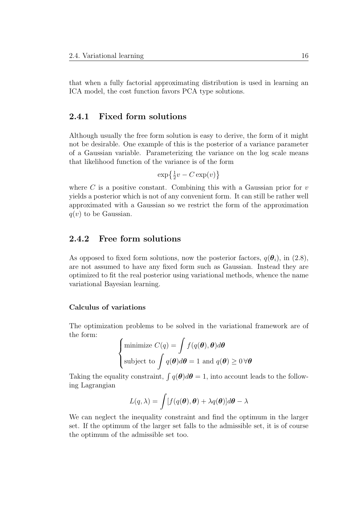that when a fully factorial approximating distribution is used in learning an ICA model, the cost function favors PCA type solutions.

#### 2.4.1 Fixed form solutions

Although usually the free form solution is easy to derive, the form of it might not be desirable. One example of this is the posterior of a variance parameter of a Gaussian variable. Parameterizing the variance on the log scale means that likelihood function of the variance is of the form

$$
\exp\left\{\frac{1}{2}v - C\exp(v)\right\}
$$

where  $C$  is a positive constant. Combining this with a Gaussian prior for  $v$ yields a posterior which is not of any convenient form. It can still be rather well approximated with a Gaussian so we restrict the form of the approximation  $q(v)$  to be Gaussian.

#### 2.4.2 Free form solutions

As opposed to fixed form solutions, now the posterior factors,  $q(\theta_i)$ , in (2.8), are not assumed to have any fixed form such as Gaussian. Instead they are optimized to fit the real posterior using variational methods, whence the name variational Bayesian learning.

#### Calculus of variations

The optimization problems to be solved in the variational framework are of the form:

$$
\begin{cases}\n\text{minimize } C(q) = \int f(q(\boldsymbol{\theta}), \boldsymbol{\theta}) d\boldsymbol{\theta} \\
\text{subject to } \int q(\boldsymbol{\theta}) d\boldsymbol{\theta} = 1 \text{ and } q(\boldsymbol{\theta}) \ge 0 \,\forall \boldsymbol{\theta}\n\end{cases}
$$

Taking the equality constraint,  $\int q(\theta) d\theta = 1$ , into account leads to the following Lagrangian

$$
L(q,\lambda) = \int [f(q(\boldsymbol{\theta}), \boldsymbol{\theta}) + \lambda q(\boldsymbol{\theta})] d\boldsymbol{\theta} - \lambda
$$

We can neglect the inequality constraint and find the optimum in the larger set. If the optimum of the larger set falls to the admissible set, it is of course the optimum of the admissible set too.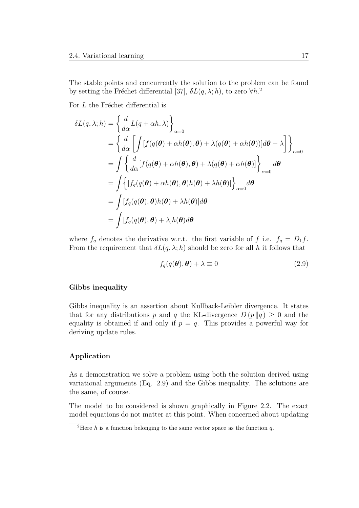The stable points and concurrently the solution to the problem can be found by setting the Fréchet differential [37],  $\delta L(q, \lambda; h)$ , to zero  $\forall h$ .<sup>2</sup>

For  $L$  the Fréchet differential is

$$
\delta L(q, \lambda; h) = \left\{ \frac{d}{d\alpha} L(q + \alpha h, \lambda) \right\}_{\alpha=0}
$$
  
= 
$$
\left\{ \frac{d}{d\alpha} \left[ \int [f(q(\theta) + \alpha h(\theta), \theta) + \lambda (q(\theta) + \alpha h(\theta))] d\theta - \lambda \right] \right\}_{\alpha=0}
$$
  
= 
$$
\int \left\{ \frac{d}{d\alpha} [f(q(\theta) + \alpha h(\theta), \theta) + \lambda (q(\theta) + \alpha h(\theta)] \right\}_{\alpha=0} d\theta
$$
  
= 
$$
\int \left\{ [f_q(q(\theta) + \alpha h(\theta), \theta) h(\theta) + \lambda h(\theta)] \right\}_{\alpha=0} d\theta
$$
  
= 
$$
\int [f_q(q(\theta), \theta) h(\theta) + \lambda h(\theta)] d\theta
$$
  
= 
$$
\int [f_q(q(\theta), \theta) + \lambda] h(\theta) d\theta
$$

where  $f_q$  denotes the derivative w.r.t. the first variable of f i.e.  $f_q = D_1 f$ . From the requirement that  $\delta L(q, \lambda; h)$  should be zero for all h it follows that

$$
f_q(q(\theta), \theta) + \lambda \equiv 0 \tag{2.9}
$$

#### Gibbs inequality

Gibbs inequality is an assertion about Kullback-Leibler divergence. It states that for any distributions p and q the KL-divergence  $D(p||q) > 0$  and the equality is obtained if and only if  $p = q$ . This provides a powerful way for deriving update rules.

#### Application

As a demonstration we solve a problem using both the solution derived using variational arguments (Eq. 2.9) and the Gibbs inequality. The solutions are the same, of course.

The model to be considered is shown graphically in Figure 2.2. The exact model equations do not matter at this point. When concerned about updating

<sup>&</sup>lt;sup>2</sup>Here h is a function belonging to the same vector space as the function q.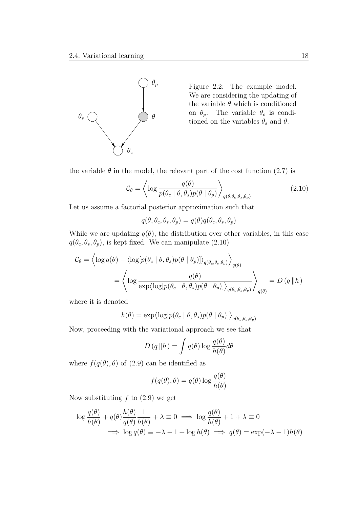

Figure 2.2: The example model. We are considering the updating of the variable  $\theta$  which is conditioned on  $\theta_p$ . The variable  $\theta_c$  is conditioned on the variables  $\theta_s$  and  $\theta$ .

the variable  $\theta$  in the model, the relevant part of the cost function (2.7) is

$$
\mathcal{C}_{\theta} = \left\langle \log \frac{q(\theta)}{p(\theta_c \mid \theta, \theta_s)p(\theta \mid \theta_p)} \right\rangle_{q(\theta, \theta_c, \theta_s, \theta_p)}
$$
(2.10)

Let us assume a factorial posterior approximation such that

$$
q(\theta, \theta_c, \theta_s, \theta_p) = q(\theta)q(\theta_c, \theta_s, \theta_p)
$$

While we are updating  $q(\theta)$ , the distribution over other variables, in this case  $q(\theta_c, \theta_s, \theta_p)$ , is kept fixed. We can manipulate (2.10)

$$
\mathcal{C}_{\theta} = \left\langle \log q(\theta) - \left\langle \log [p(\theta_c \mid \theta, \theta_s) p(\theta \mid \theta_p)] \right\rangle_{q(\theta_c, \theta_s, \theta_p)} \right\rangle_{q(\theta)}
$$

$$
= \left\langle \log \frac{q(\theta)}{\exp \left\langle \log [p(\theta_c \mid \theta, \theta_s) p(\theta \mid \theta_p)] \right\rangle_{q(\theta_c, \theta_s, \theta_p)}} \right\rangle_{q(\theta)} = D (q \mid h)
$$

where it is denoted

$$
h(\theta) = \exp \langle \log [p(\theta_c \mid \theta, \theta_s) p(\theta \mid \theta_p)] \rangle_{q(\theta_c, \theta_s, \theta_p)}
$$

Now, proceeding with the variational approach we see that

$$
D(q \| h) = \int q(\theta) \log \frac{q(\theta)}{h(\theta)} d\theta
$$

where  $f(q(\theta), \theta)$  of (2.9) can be identified as

$$
f(q(\theta), \theta) = q(\theta) \log \frac{q(\theta)}{h(\theta)}
$$

Now substituting  $f$  to  $(2.9)$  we get

$$
\log \frac{q(\theta)}{h(\theta)} + q(\theta) \frac{h(\theta)}{q(\theta)} \frac{1}{h(\theta)} + \lambda \equiv 0 \implies \log \frac{q(\theta)}{h(\theta)} + 1 + \lambda \equiv 0
$$
  

$$
\implies \log q(\theta) \equiv -\lambda - 1 + \log h(\theta) \implies q(\theta) = \exp(-\lambda - 1)h(\theta)
$$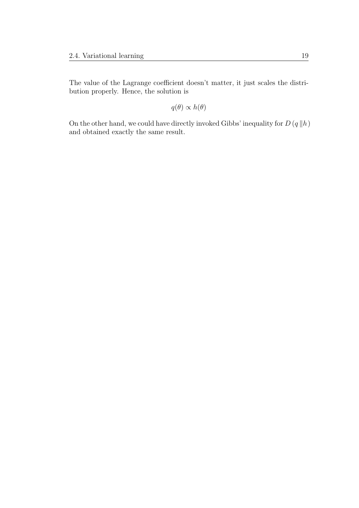The value of the Lagrange coefficient doesn't matter, it just scales the distribution properly. Hence, the solution is

 $q(\theta) \propto h(\theta)$ 

On the other hand, we could have directly invoked Gibbs' inequality for  $D(q||h)$ and obtained exactly the same result.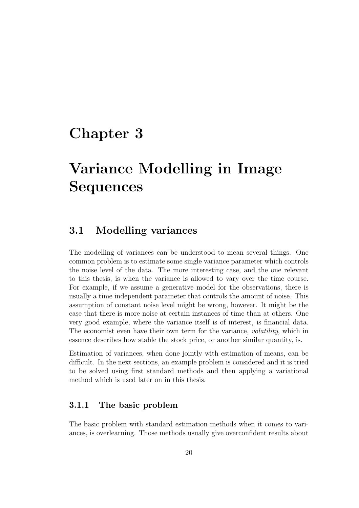# Chapter 3

# Variance Modelling in Image Sequences

### 3.1 Modelling variances

The modelling of variances can be understood to mean several things. One common problem is to estimate some single variance parameter which controls the noise level of the data. The more interesting case, and the one relevant to this thesis, is when the variance is allowed to vary over the time course. For example, if we assume a generative model for the observations, there is usually a time independent parameter that controls the amount of noise. This assumption of constant noise level might be wrong, however. It might be the case that there is more noise at certain instances of time than at others. One very good example, where the variance itself is of interest, is financial data. The economist even have their own term for the variance, *volatility*, which in essence describes how stable the stock price, or another similar quantity, is.

Estimation of variances, when done jointly with estimation of means, can be difficult. In the next sections, an example problem is considered and it is tried to be solved using first standard methods and then applying a variational method which is used later on in this thesis.

### 3.1.1 The basic problem

The basic problem with standard estimation methods when it comes to variances, is overlearning. Those methods usually give overconfident results about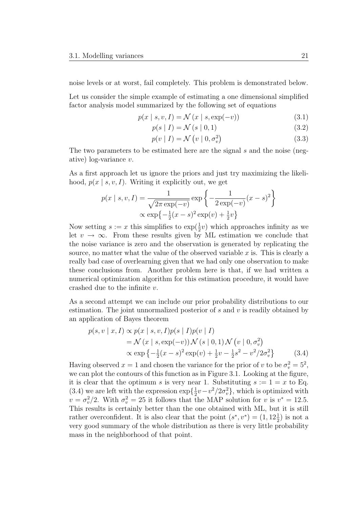noise levels or at worst, fail completely. This problem is demonstrated below.

Let us consider the simple example of estimating a one dimensional simplified factor analysis model summarized by the following set of equations

$$
p(x \mid s, v, I) = \mathcal{N}(x \mid s, \exp(-v))
$$
\n(3.1)

$$
p(s | I) = \mathcal{N}(s | 0, 1)
$$
\n
$$
(3.2)
$$

$$
p(v | I) = \mathcal{N}(v | 0, \sigma_v^2)
$$
\n(3.3)

The two parameters to be estimated here are the signal s and the noise (negative) log-variance v.

As a first approach let us ignore the priors and just try maximizing the likelihood,  $p(x \mid s, v, I)$ . Writing it explicitly out, we get

$$
p(x \mid s, v, I) = \frac{1}{\sqrt{2\pi \exp(-v)}} \exp\left\{-\frac{1}{2\exp(-v)}(x - s)^2\right\}
$$

$$
\propto \exp\left\{-\frac{1}{2}(x - s)^2 \exp(v) + \frac{1}{2}v\right\}
$$

Now setting  $s := x$  this simplifies to  $\exp(\frac{1}{2}v)$  which approaches infinity as we let  $v \to \infty$ . From these results given by ML estimation we conclude that the noise variance is zero and the observation is generated by replicating the source, no matter what the value of the observed variable  $x$  is. This is clearly a really bad case of overlearning given that we had only one observation to make these conclusions from. Another problem here is that, if we had written a numerical optimization algorithm for this estimation procedure, it would have crashed due to the infinite v.

As a second attempt we can include our prior probability distributions to our estimation. The joint unnormalized posterior of  $s$  and  $v$  is readily obtained by an application of Bayes theorem

$$
p(s, v \mid x, I) \propto p(x \mid s, v, I)p(s \mid I)p(v \mid I)
$$
  
=  $\mathcal{N}(x \mid s, \exp(-v)) \mathcal{N}(s \mid 0, 1) \mathcal{N}(v \mid 0, \sigma_v^2)$   
 $\propto \exp \{-\frac{1}{2}(x - s)^2 \exp(v) + \frac{1}{2}v - \frac{1}{2}s^2 - v^2/2\sigma_v^2\}$  (3.4)

Having observed  $x = 1$  and chosen the variance for the prior of v to be  $\sigma_v^2 = 5^2$ , we can plot the contours of this function as in Figure 3.1. Looking at the figure, it is clear that the optimum s is very near 1. Substituting  $s := 1 = x$  to Eq. (3.4) we are left with the expression  $\exp{\{\frac{1}{2}\}}$  $\frac{1}{2}v - v^2/2\sigma_v^2$ , which is optimized with  $v = \sigma_v^2/2$ . With  $\sigma_v^2 = 25$  it follows that the MAP solution for v is  $v^* = 12.5$ . This results is certainly better than the one obtained with ML, but it is still rather overconfident. It is also clear that the point  $(s^*, v^*) = (1, 12\frac{1}{2})$  is not a very good summary of the whole distribution as there is very little probability mass in the neighborhood of that point.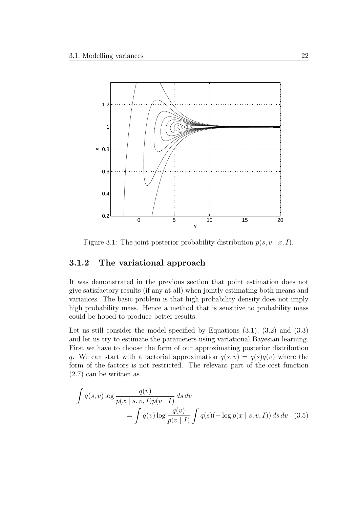

Figure 3.1: The joint posterior probability distribution  $p(s, v \mid x, I)$ .

#### 3.1.2 The variational approach

It was demonstrated in the previous section that point estimation does not give satisfactory results (if any at all) when jointly estimating both means and variances. The basic problem is that high probability density does not imply high probability mass. Hence a method that is sensitive to probability mass could be hoped to produce better results.

Let us still consider the model specified by Equations  $(3.1)$ ,  $(3.2)$  and  $(3.3)$ and let us try to estimate the parameters using variational Bayesian learning. First we have to choose the form of our approximating posterior distribution q. We can start with a factorial approximation  $q(s, v) = q(s)q(v)$  where the form of the factors is not restricted. The relevant part of the cost function (2.7) can be written as

$$
\int q(s,v) \log \frac{q(v)}{p(x \mid s, v, I)p(v \mid I)} ds dv
$$
  
= 
$$
\int q(v) \log \frac{q(v)}{p(v \mid I)} \int q(s)(-\log p(x \mid s, v, I)) ds dv
$$
 (3.5)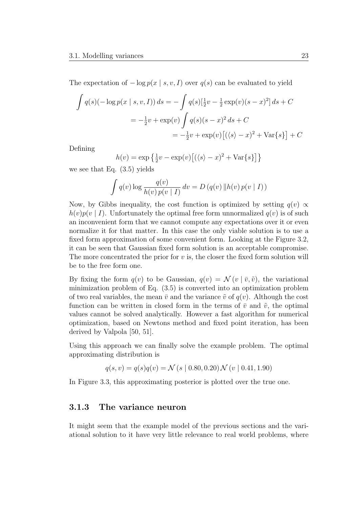The expectation of  $-\log p(x \mid s, v, I)$  over  $q(s)$  can be evaluated to yield

$$
\int q(s)(-\log p(x \mid s, v, I)) ds = -\int q(s)[\frac{1}{2}v - \frac{1}{2}\exp(v)(s - x)^{2}] ds + C
$$
  
=  $-\frac{1}{2}v + \exp(v) \int q(s)(s - x)^{2} ds + C$   
=  $-\frac{1}{2}v + \exp(v) [(\langle s \rangle - x)^{2} + \text{Var}\{s\}] + C$ 

Defining

$$
h(v) = \exp\left\{\frac{1}{2}v - \exp(v)\left[\left(\langle s \rangle - x\right)^2 + \text{Var}\{s\}\right]\right\}
$$

we see that Eq. (3.5) yields

$$
\int q(v) \log \frac{q(v)}{h(v) p(v | I)} dv = D (q(v) || h(v) p(v | I))
$$

Now, by Gibbs inequality, the cost function is optimized by setting  $q(v) \propto$  $h(v)p(v | I)$ . Unfortunately the optimal free form unnormalized  $q(v)$  is of such an inconvenient form that we cannot compute any expectations over it or even normalize it for that matter. In this case the only viable solution is to use a fixed form approximation of some convenient form. Looking at the Figure 3.2, it can be seen that Gaussian fixed form solution is an acceptable compromise. The more concentrated the prior for  $v$  is, the closer the fixed form solution will be to the free form one.

By fixing the form  $q(v)$  to be Gaussian,  $q(v) = \mathcal{N}(v | \bar{v}, \tilde{v})$ , the variational minimization problem of Eq. (3.5) is converted into an optimization problem of two real variables, the mean  $\bar{v}$  and the variance  $\tilde{v}$  of  $q(v)$ . Although the cost function can be written in closed form in the terms of  $\bar{v}$  and  $\tilde{v}$ , the optimal values cannot be solved analytically. However a fast algorithm for numerical optimization, based on Newtons method and fixed point iteration, has been derived by Valpola [50, 51].

Using this approach we can finally solve the example problem. The optimal approximating distribution is

$$
q(s, v) = q(s)q(v) = \mathcal{N}(s \mid 0.80, 0.20) \mathcal{N}(v \mid 0.41, 1.90)
$$

In Figure 3.3, this approximating posterior is plotted over the true one.

#### 3.1.3 The variance neuron

It might seem that the example model of the previous sections and the variational solution to it have very little relevance to real world problems, where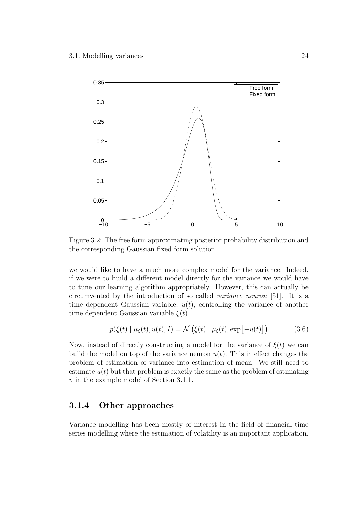

Figure 3.2: The free form approximating posterior probability distribution and the corresponding Gaussian fixed form solution.

we would like to have a much more complex model for the variance. Indeed, if we were to build a different model directly for the variance we would have to tune our learning algorithm appropriately. However, this can actually be circumvented by the introduction of so called variance neuron [51]. It is a time dependent Gaussian variable,  $u(t)$ , controlling the variance of another time dependent Gaussian variable  $\xi(t)$ 

$$
p(\xi(t) | \mu_{\xi}(t), u(t), I) = \mathcal{N}\left(\xi(t) | \mu_{\xi}(t), \exp[-u(t)]\right)
$$
 (3.6)

Now, instead of directly constructing a model for the variance of  $\xi(t)$  we can build the model on top of the variance neuron  $u(t)$ . This in effect changes the problem of estimation of variance into estimation of mean. We still need to estimate  $u(t)$  but that problem is exactly the same as the problem of estimating v in the example model of Section 3.1.1.

#### 3.1.4 Other approaches

Variance modelling has been mostly of interest in the field of financial time series modelling where the estimation of volatility is an important application.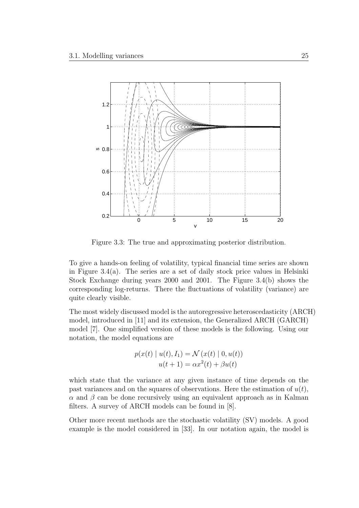

Figure 3.3: The true and approximating posterior distribution.

To give a hands-on feeling of volatility, typical financial time series are shown in Figure 3.4(a). The series are a set of daily stock price values in Helsinki Stock Exchange during years 2000 and 2001. The Figure 3.4(b) shows the corresponding log-returns. There the fluctuations of volatility (variance) are quite clearly visible.

The most widely discussed model is the autoregressive heteroscedasticity (ARCH) model, introduced in [11] and its extension, the Generalized ARCH (GARCH) model [7]. One simplified version of these models is the following. Using our notation, the model equations are

$$
p(x(t) | u(t), I_1) = \mathcal{N}(x(t) | 0, u(t))
$$
  
 
$$
u(t + 1) = \alpha x^2(t) + \beta u(t)
$$

which state that the variance at any given instance of time depends on the past variances and on the squares of observations. Here the estimation of  $u(t)$ ,  $\alpha$  and  $\beta$  can be done recursively using an equivalent approach as in Kalman filters. A survey of ARCH models can be found in [8].

Other more recent methods are the stochastic volatility (SV) models. A good example is the model considered in [33]. In our notation again, the model is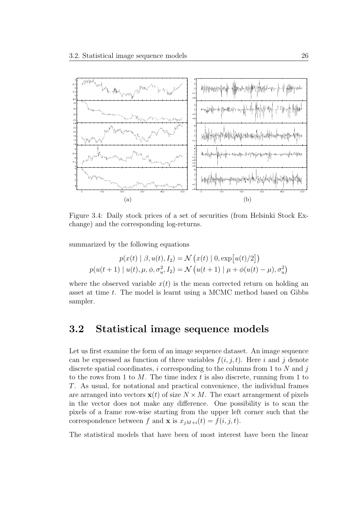

Figure 3.4: Daily stock prices of a set of securities (from Helsinki Stock Exchange) and the corresponding log-returns.

summarized by the following equations

$$
p(x(t) | \beta, u(t), I_2) = \mathcal{N}(x(t) | 0, \exp[u(t)/2])
$$

$$
p(u(t+1) | u(t), \mu, \phi, \sigma_u^2, I_2) = \mathcal{N}(u(t+1) | \mu + \phi(u(t) - \mu), \sigma_u^2)
$$

where the observed variable  $x(t)$  is the mean corrected return on holding an asset at time t. The model is learnt using a MCMC method based on Gibbs sampler.

### 3.2 Statistical image sequence models

Let us first examine the form of an image sequence dataset. An image sequence can be expressed as function of three variables  $f(i, j, t)$ . Here i and j denote discrete spatial coordinates, i corresponding to the columns from 1 to  $N$  and j to the rows from 1 to  $M$ . The time index t is also discrete, running from 1 to T. As usual, for notational and practical convenience, the individual frames are arranged into vectors  $\mathbf{x}(t)$  of size  $N \times M$ . The exact arrangement of pixels in the vector does not make any difference. One possibility is to scan the pixels of a frame row-wise starting from the upper left corner such that the correspondence between f and **x** is  $x_{iM+i}(t) = f(i, j, t)$ .

The statistical models that have been of most interest have been the linear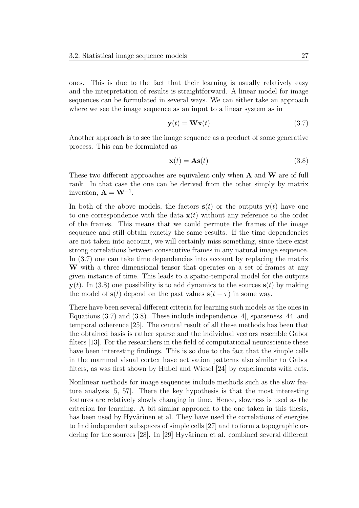ones. This is due to the fact that their learning is usually relatively easy and the interpretation of results is straightforward. A linear model for image sequences can be formulated in several ways. We can either take an approach where we see the image sequence as an input to a linear system as in

$$
\mathbf{y}(t) = \mathbf{W}\mathbf{x}(t) \tag{3.7}
$$

Another approach is to see the image sequence as a product of some generative process. This can be formulated as

$$
\mathbf{x}(t) = \mathbf{A}\mathbf{s}(t) \tag{3.8}
$$

These two different approaches are equivalent only when **A** and **W** are of full rank. In that case the one can be derived from the other simply by matrix inversion,  $\mathbf{A} = \mathbf{W}^{-1}$ .

In both of the above models, the factors  $s(t)$  or the outputs  $y(t)$  have one to one correspondence with the data  $\mathbf{x}(t)$  without any reference to the order of the frames. This means that we could permute the frames of the image sequence and still obtain exactly the same results. If the time dependencies are not taken into account, we will certainly miss something, since there exist strong correlations between consecutive frames in any natural image sequence. In (3.7) one can take time dependencies into account by replacing the matrix W with a three-dimensional tensor that operates on a set of frames at any given instance of time. This leads to a spatio-temporal model for the outputs  $y(t)$ . In (3.8) one possibility is to add dynamics to the sources  $s(t)$  by making the model of  $s(t)$  depend on the past values  $s(t - \tau)$  in some way.

There have been several different criteria for learning such models as the ones in Equations (3.7) and (3.8). These include independence [4], sparseness [44] and temporal coherence [25]. The central result of all these methods has been that the obtained basis is rather sparse and the individual vectors resemble Gabor filters [13]. For the researchers in the field of computational neuroscience these have been interesting findings. This is so due to the fact that the simple cells in the mammal visual cortex have activation patterns also similar to Gabor filters, as was first shown by Hubel and Wiesel [24] by experiments with cats.

Nonlinear methods for image sequences include methods such as the slow feature analysis [5, 57]. There the key hypothesis is that the most interesting features are relatively slowly changing in time. Hence, slowness is used as the criterion for learning. A bit similar approach to the one taken in this thesis, has been used by Hyvärinen et al. They have used the correlations of energies to find independent subspaces of simple cells [27] and to form a topographic ordering for the sources  $[28]$ . In  $[29]$  Hyvärinen et al. combined several different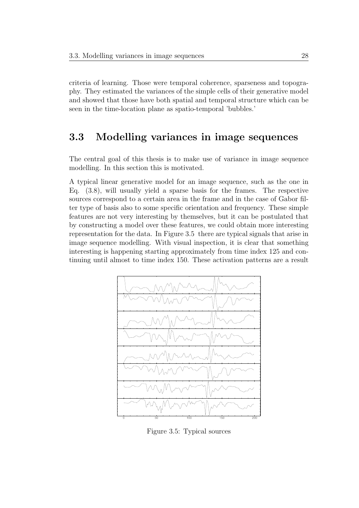criteria of learning. Those were temporal coherence, sparseness and topography. They estimated the variances of the simple cells of their generative model and showed that those have both spatial and temporal structure which can be seen in the time-location plane as spatio-temporal 'bubbles.'

### 3.3 Modelling variances in image sequences

The central goal of this thesis is to make use of variance in image sequence modelling. In this section this is motivated.

A typical linear generative model for an image sequence, such as the one in Eq. (3.8), will usually yield a sparse basis for the frames. The respective sources correspond to a certain area in the frame and in the case of Gabor filter type of basis also to some specific orientation and frequency. These simple features are not very interesting by themselves, but it can be postulated that by constructing a model over these features, we could obtain more interesting representation for the data. In Figure 3.5 there are typical signals that arise in image sequence modelling. With visual inspection, it is clear that something interesting is happening starting approximately from time index 125 and continuing until almost to time index 150. These activation patterns are a result



Figure 3.5: Typical sources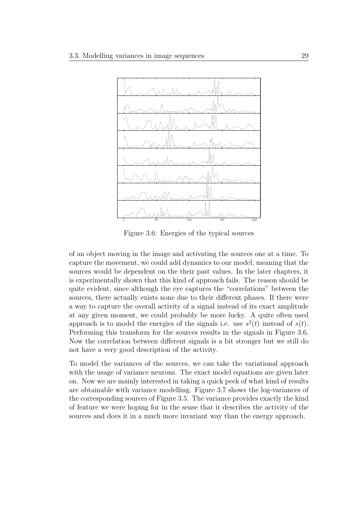

Figure 3.6: Energies of the typical sources

of an object moving in the image and activating the sources one at a time. To capture the movement, we could add dynamics to our model, meaning that the sources would be dependent on the their past values. In the later chapters, it is experimentally shown that this kind of approach fails. The reason should be quite evident, since although the eye captures the "correlations" between the sources, there actually exists none due to their different phases. If there were a way to capture the overall activity of a signal instead of its exact amplitude at any given moment, we could probably be more lucky. A quite often used approach is to model the energies of the signals i.e. use  $s^2(t)$  instead of  $s(t)$ . Performing this transform for the sources results in the signals in Figure 3.6. Now the correlation between different signals is a bit stronger but we still do not have a very good description of the activity.

To model the variances of the sources, we can take the variational approach with the usage of variance neurons. The exact model equations are given later on. Now we are mainly interested in taking a quick peek of what kind of results are obtainable with variance modelling. Figure 3.7 shows the log-variances of the corresponding sources of Figure 3.5. The variance provides exactly the kind of feature we were hoping for in the sense that it describes the activity of the sources and does it in a much more invariant way than the energy approach.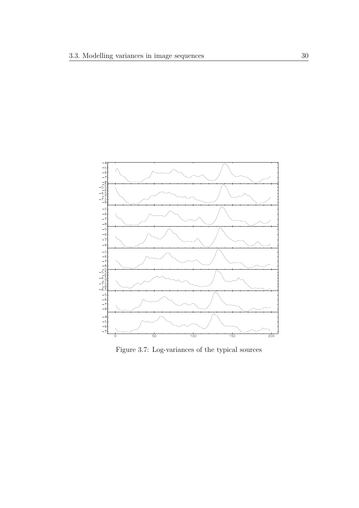

Figure 3.7: Log-variances of the typical sources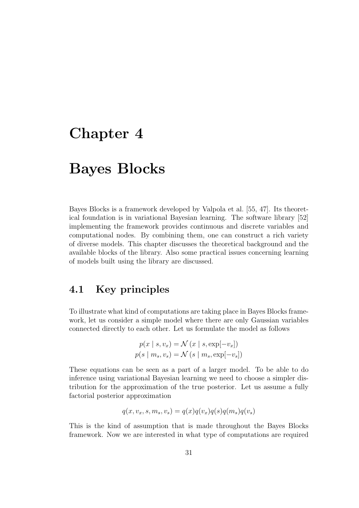## Chapter 4

# Bayes Blocks

Bayes Blocks is a framework developed by Valpola et al. [55, 47]. Its theoretical foundation is in variational Bayesian learning. The software library [52] implementing the framework provides continuous and discrete variables and computational nodes. By combining them, one can construct a rich variety of diverse models. This chapter discusses the theoretical background and the available blocks of the library. Also some practical issues concerning learning of models built using the library are discussed.

### 4.1 Key principles

To illustrate what kind of computations are taking place in Bayes Blocks framework, let us consider a simple model where there are only Gaussian variables connected directly to each other. Let us formulate the model as follows

$$
p(x \mid s, v_x) = \mathcal{N}(x \mid s, \exp[-v_x])
$$
  

$$
p(s \mid m_s, v_s) = \mathcal{N}(s \mid m_s, \exp[-v_s])
$$

These equations can be seen as a part of a larger model. To be able to do inference using variational Bayesian learning we need to choose a simpler distribution for the approximation of the true posterior. Let us assume a fully factorial posterior approximation

$$
q(x, v_x, s, m_s, v_s) = q(x)q(v_x)q(s)q(m_s)q(v_s)
$$

This is the kind of assumption that is made throughout the Bayes Blocks framework. Now we are interested in what type of computations are required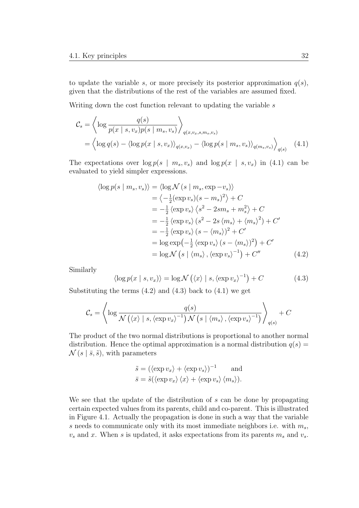to update the variable s, or more precisely its posterior approximation  $q(s)$ , given that the distributions of the rest of the variables are assumed fixed.

Writing down the cost function relevant to updating the variable  $s$ 

$$
\mathcal{C}_{s} = \left\langle \log \frac{q(s)}{p(x \mid s, v_x)p(s \mid m_s, v_s)} \right\rangle_{q(x, v_x, s, m_s, v_s)}
$$
  
= 
$$
\left\langle \log q(s) - \left\langle \log p(x \mid s, v_x) \right\rangle_{q(x, v_x)} - \left\langle \log p(s \mid m_s, v_s) \right\rangle_{q(m_s, v_s)} \right\rangle_{q(s)}
$$
(4.1)

The expectations over  $\log p(s \mid m_s, v_s)$  and  $\log p(x \mid s, v_x)$  in (4.1) can be evaluated to yield simpler expressions.

$$
\langle \log p(s \mid m_s, v_s) \rangle = \langle \log \mathcal{N}(s \mid m_s, \exp -v_s) \rangle
$$
  
\n
$$
= \langle -\frac{1}{2} (\exp v_s)(s - m_s)^2 \rangle + C
$$
  
\n
$$
= -\frac{1}{2} \langle \exp v_s \rangle \langle s^2 - 2sm_s + m_s^2 \rangle + C
$$
  
\n
$$
= -\frac{1}{2} \langle \exp v_s \rangle (s^2 - 2s \langle m_s \rangle + \langle m_s \rangle^2) + C'
$$
  
\n
$$
= -\frac{1}{2} \langle \exp v_s \rangle (s - \langle m_s \rangle)^2 + C'
$$
  
\n
$$
= \log \exp(-\frac{1}{2} \langle \exp v_s \rangle (s - \langle m_s \rangle)^2) + C'
$$
  
\n
$$
= \log \mathcal{N}(s \mid \langle m_s \rangle, \langle \exp v_s \rangle^{-1}) + C''
$$
(4.2)

Similarly

$$
\langle \log p(x \mid s, v_x) \rangle = \log \mathcal{N} \left( \langle x \rangle \mid s, \langle \exp v_x \rangle^{-1} \right) + C \tag{4.3}
$$

Substituting the terms  $(4.2)$  and  $(4.3)$  back to  $(4.1)$  we get

$$
C_s = \left\langle \log \frac{q(s)}{\mathcal{N}\left(\langle x \rangle \mid s, \langle \exp v_x \rangle^{-1}\right) \mathcal{N}\left(s \mid \langle m_s \rangle, \langle \exp v_s \rangle^{-1}\right)} \right\rangle_{q(s)} + C
$$

The product of the two normal distributions is proportional to another normal distribution. Hence the optimal approximation is a normal distribution  $q(s)$  =  $\mathcal{N}(s | \bar{s}, \tilde{s})$ , with parameters

$$
\tilde{s} = (\langle \exp v_x \rangle + \langle \exp v_s \rangle)^{-1} \quad \text{and}
$$
  

$$
\bar{s} = \tilde{s}(\langle \exp v_x \rangle \langle x \rangle + \langle \exp v_s \rangle \langle m_s \rangle).
$$

We see that the update of the distribution of s can be done by propagating certain expected values from its parents, child and co-parent. This is illustrated in Figure 4.1. Actually the propagation is done in such a way that the variable s needs to communicate only with its most immediate neighbors i.e. with  $m_s$ ,  $v_s$  and x. When s is updated, it asks expectations from its parents  $m_s$  and  $v_s$ .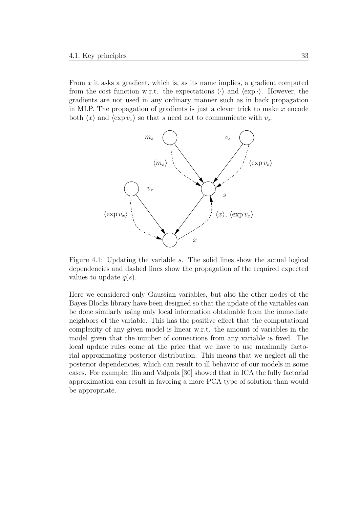From  $x$  it asks a gradient, which is, as its name implies, a gradient computed from the cost function w.r.t. the expectations  $\langle \cdot \rangle$  and  $\langle \exp \cdot \rangle$ . However, the gradients are not used in any ordinary manner such as in back propagation in MLP. The propagation of gradients is just a clever trick to make  $x$  encode both  $\langle x \rangle$  and  $\langle \exp v_x \rangle$  so that s need not to communicate with  $v_x$ .



Figure 4.1: Updating the variable s. The solid lines show the actual logical dependencies and dashed lines show the propagation of the required expected values to update  $q(s)$ .

Here we considered only Gaussian variables, but also the other nodes of the Bayes Blocks library have been designed so that the update of the variables can be done similarly using only local information obtainable from the immediate neighbors of the variable. This has the positive effect that the computational complexity of any given model is linear w.r.t. the amount of variables in the model given that the number of connections from any variable is fixed. The local update rules come at the price that we have to use maximally factorial approximating posterior distribution. This means that we neglect all the posterior dependencies, which can result to ill behavior of our models in some cases. For example, Ilin and Valpola [30] showed that in ICA the fully factorial approximation can result in favoring a more PCA type of solution than would be appropriate.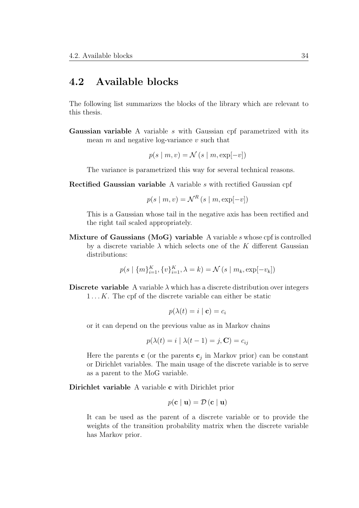#### 4.2 Available blocks

The following list summarizes the blocks of the library which are relevant to this thesis.

Gaussian variable A variable s with Gaussian cpf parametrized with its mean  $m$  and negative log-variance  $v$  such that

 $p(s \mid m, v) = \mathcal{N}(s \mid m, \exp[-v])$ 

The variance is parametrized this way for several technical reasons.

Rectified Gaussian variable A variable s with rectified Gaussian cpf

$$
p(s \mid m, v) = \mathcal{N}^R(s \mid m, \exp[-v])
$$

This is a Gaussian whose tail in the negative axis has been rectified and the right tail scaled appropriately.

Mixture of Gaussians (MoG) variable A variable  $s$  whose cpf is controlled by a discrete variable  $\lambda$  which selects one of the K different Gaussian distributions:

$$
p(s | \{m\}_{i=1}^{K}, \{v\}_{i=1}^{K}, \lambda = k) = \mathcal{N}(s | m_k, \exp[-v_k])
$$

**Discrete variable** A variable  $\lambda$  which has a discrete distribution over integers 1 ... K. The cpf of the discrete variable can either be static

$$
p(\lambda(t) = i \mid \mathbf{c}) = c_i
$$

or it can depend on the previous value as in Markov chains

$$
p(\lambda(t) = i \mid \lambda(t - 1) = j, \mathbf{C}) = c_{ij}
$$

Here the parents  $\mathbf{c}$  (or the parents  $\mathbf{c}_j$  in Markov prior) can be constant or Dirichlet variables. The main usage of the discrete variable is to serve as a parent to the MoG variable.

Dirichlet variable A variable c with Dirichlet prior

$$
p(\mathbf{c} \mid \mathbf{u}) = \mathcal{D}(\mathbf{c} \mid \mathbf{u})
$$

It can be used as the parent of a discrete variable or to provide the weights of the transition probability matrix when the discrete variable has Markov prior.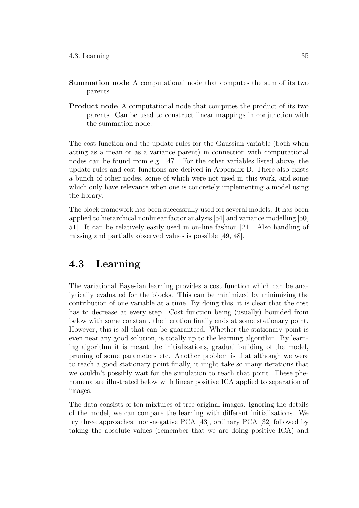- Summation node A computational node that computes the sum of its two parents.
- Product node A computational node that computes the product of its two parents. Can be used to construct linear mappings in conjunction with the summation node.

The cost function and the update rules for the Gaussian variable (both when acting as a mean or as a variance parent) in connection with computational nodes can be found from e.g. [47]. For the other variables listed above, the update rules and cost functions are derived in Appendix B. There also exists a bunch of other nodes, some of which were not used in this work, and some which only have relevance when one is concretely implementing a model using the library.

The block framework has been successfully used for several models. It has been applied to hierarchical nonlinear factor analysis [54] and variance modelling [50, 51]. It can be relatively easily used in on-line fashion [21]. Also handling of missing and partially observed values is possible [49, 48].

#### 4.3 Learning

The variational Bayesian learning provides a cost function which can be analytically evaluated for the blocks. This can be minimized by minimizing the contribution of one variable at a time. By doing this, it is clear that the cost has to decrease at every step. Cost function being (usually) bounded from below with some constant, the iteration finally ends at some stationary point. However, this is all that can be guaranteed. Whether the stationary point is even near any good solution, is totally up to the learning algorithm. By learning algorithm it is meant the initializations, gradual building of the model, pruning of some parameters etc. Another problem is that although we were to reach a good stationary point finally, it might take so many iterations that we couldn't possibly wait for the simulation to reach that point. These phenomena are illustrated below with linear positive ICA applied to separation of images.

The data consists of ten mixtures of tree original images. Ignoring the details of the model, we can compare the learning with different initializations. We try three approaches: non-negative PCA [43], ordinary PCA [32] followed by taking the absolute values (remember that we are doing positive ICA) and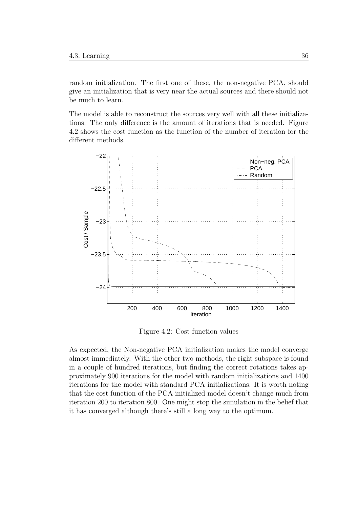random initialization. The first one of these, the non-negative PCA, should give an initialization that is very near the actual sources and there should not be much to learn.

The model is able to reconstruct the sources very well with all these initializations. The only difference is the amount of iterations that is needed. Figure 4.2 shows the cost function as the function of the number of iteration for the different methods.



Figure 4.2: Cost function values

As expected, the Non-negative PCA initialization makes the model converge almost immediately. With the other two methods, the right subspace is found in a couple of hundred iterations, but finding the correct rotations takes approximately 900 iterations for the model with random initializations and 1400 iterations for the model with standard PCA initializations. It is worth noting that the cost function of the PCA initialized model doesn't change much from iteration 200 to iteration 800. One might stop the simulation in the belief that it has converged although there's still a long way to the optimum.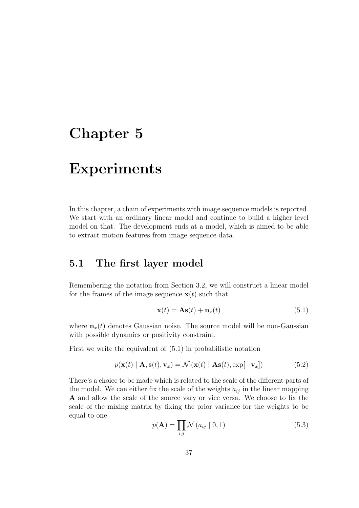## Chapter 5

### Experiments

In this chapter, a chain of experiments with image sequence models is reported. We start with an ordinary linear model and continue to build a higher level model on that. The development ends at a model, which is aimed to be able to extract motion features from image sequence data.

### 5.1 The first layer model

Remembering the notation from Section 3.2, we will construct a linear model for the frames of the image sequence  $\mathbf{x}(t)$  such that

$$
\mathbf{x}(t) = \mathbf{A}\mathbf{s}(t) + \mathbf{n}_x(t) \tag{5.1}
$$

where  $\mathbf{n}_x(t)$  denotes Gaussian noise. The source model will be non-Gaussian with possible dynamics or positivity constraint.

First we write the equivalent of (5.1) in probabilistic notation

$$
p(\mathbf{x}(t) | \mathbf{A}, \mathbf{s}(t), \mathbf{v}_x) = \mathcal{N}(\mathbf{x}(t) | \mathbf{A}\mathbf{s}(t), \exp[-\mathbf{v}_x])
$$
(5.2)

There's a choice to be made which is related to the scale of the different parts of the model. We can either fix the scale of the weights  $a_{ij}$  in the linear mapping A and allow the scale of the source vary or vice versa. We choose to fix the scale of the mixing matrix by fixing the prior variance for the weights to be equal to one

$$
p(\mathbf{A}) = \prod_{i,j} \mathcal{N}(a_{ij} \mid 0, 1) \tag{5.3}
$$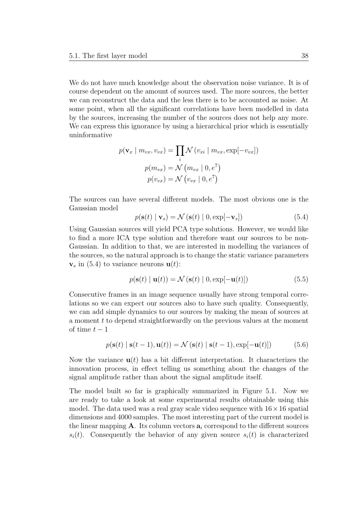We do not have much knowledge about the observation noise variance. It is of course dependent on the amount of sources used. The more sources, the better we can reconstruct the data and the less there is to be accounted as noise. At some point, when all the significant correlations have been modelled in data by the sources, increasing the number of the sources does not help any more. We can express this ignorance by using a hierarchical prior which is essentially uninformative

$$
p(\mathbf{v}_x \mid m_{vx}, v_{vx}) = \prod_i \mathcal{N}(v_{xi} \mid m_{vx}, \exp[-v_{vx}])
$$

$$
p(m_{vx}) = \mathcal{N}(m_{vx} \mid 0, e^7)
$$

$$
p(v_{vx}) = \mathcal{N}(v_{vx} \mid 0, e^7)
$$

The sources can have several different models. The most obvious one is the Gaussian model

$$
p(\mathbf{s}(t) \mid \mathbf{v}_s) = \mathcal{N}(\mathbf{s}(t) \mid 0, \exp[-\mathbf{v}_s])
$$
\n(5.4)

Using Gaussian sources will yield PCA type solutions. However, we would like to find a more ICA type solution and therefore want our sources to be non-Gaussian. In addition to that, we are interested in modelling the variances of the sources, so the natural approach is to change the static variance parameters  $v_s$  in (5.4) to variance neurons  $u(t)$ :

$$
p(\mathbf{s}(t) \mid \mathbf{u}(t)) = \mathcal{N}(\mathbf{s}(t) \mid 0, \exp[-\mathbf{u}(t)])
$$
\n(5.5)

Consecutive frames in an image sequence usually have strong temporal correlations so we can expect our sources also to have such quality. Consequently, we can add simple dynamics to our sources by making the mean of sources at a moment t to depend straightforwardly on the previous values at the moment of time  $t-1$ 

$$
p(\mathbf{s}(t) | \mathbf{s}(t-1), \mathbf{u}(t)) = \mathcal{N}(\mathbf{s}(t) | \mathbf{s}(t-1), \exp[-\mathbf{u}(t)])
$$
 (5.6)

Now the variance  $\mathbf{u}(t)$  has a bit different interpretation. It characterizes the innovation process, in effect telling us something about the changes of the signal amplitude rather than about the signal amplitude itself.

The model built so far is graphically summarized in Figure 5.1. Now we are ready to take a look at some experimental results obtainable using this model. The data used was a real gray scale video sequence with  $16 \times 16$  spatial dimensions and 4000 samples. The most interesting part of the current model is the linear mapping  $\bf{A}$ . Its column vectors  $\bf{a}_i$  correspond to the different sources  $s_i(t)$ . Consequently the behavior of any given source  $s_i(t)$  is characterized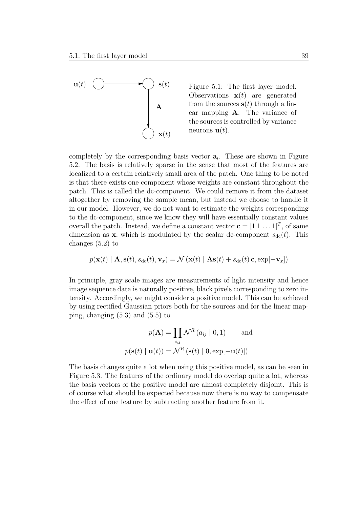

Figure 5.1: The first layer model. Observations  $\mathbf{x}(t)$  are generated from the sources  $s(t)$  through a linear mapping A. The variance of the sources is controlled by variance neurons  $\mathbf{u}(t)$ .

completely by the corresponding basis vector  $a_i$ . These are shown in Figure 5.2. The basis is relatively sparse in the sense that most of the features are localized to a certain relatively small area of the patch. One thing to be noted is that there exists one component whose weights are constant throughout the patch. This is called the dc-component. We could remove it from the dataset altogether by removing the sample mean, but instead we choose to handle it in our model. However, we do not want to estimate the weights corresponding to the dc-component, since we know they will have essentially constant values overall the patch. Instead, we define a constant vector  $\mathbf{c} = [1 \ 1 \dots 1]^T$ , of same dimension as **x**, which is modulated by the scalar dc-component  $s_{dc}(t)$ . This changes (5.2) to

$$
p(\mathbf{x}(t) | \mathbf{A}, \mathbf{s}(t), s_{\text{dc}}(t), \mathbf{v}_x) = \mathcal{N}(\mathbf{x}(t) | \mathbf{A}\mathbf{s}(t) + s_{\text{dc}}(t) \mathbf{c}, \exp[-\mathbf{v}_x])
$$

In principle, gray scale images are measurements of light intensity and hence image sequence data is naturally positive, black pixels corresponding to zero intensity. Accordingly, we might consider a positive model. This can be achieved by using rectified Gaussian priors both for the sources and for the linear mapping, changing  $(5.3)$  and  $(5.5)$  to

$$
p(\mathbf{A}) = \prod_{i,j} \mathcal{N}^{R} (a_{ij} | 0, 1)
$$
 and  

$$
p(\mathbf{s}(t) | \mathbf{u}(t)) = \mathcal{N}^{R} (\mathbf{s}(t) | 0, \exp[-\mathbf{u}(t)])
$$

The basis changes quite a lot when using this positive model, as can be seen in Figure 5.3. The features of the ordinary model do overlap quite a lot, whereas the basis vectors of the positive model are almost completely disjoint. This is of course what should be expected because now there is no way to compensate the effect of one feature by subtracting another feature from it.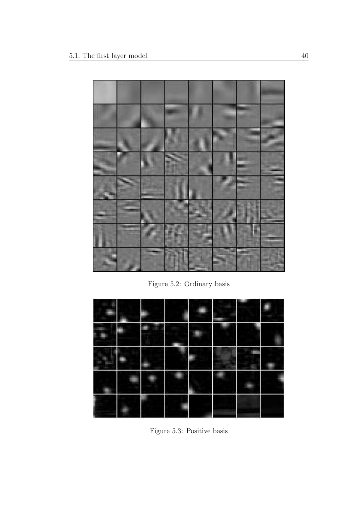

Figure 5.2: Ordinary basis



Figure 5.3: Positive basis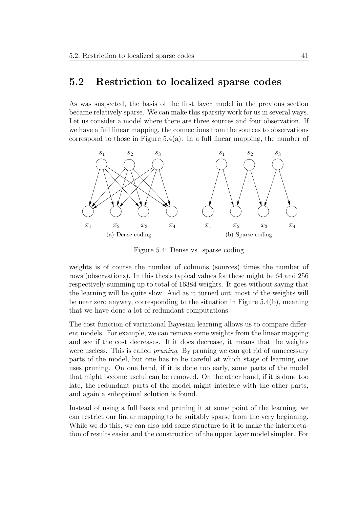#### 5.2 Restriction to localized sparse codes

As was suspected, the basis of the first layer model in the previous section became relatively sparse. We can make this sparsity work for us in several ways. Let us consider a model where there are three sources and four observation. If we have a full linear mapping, the connections from the sources to observations correspond to those in Figure  $5.4(a)$ . In a full linear mapping, the number of



Figure 5.4: Dense vs. sparse coding

weights is of course the number of columns (sources) times the number of rows (observations). In this thesis typical values for these might be 64 and 256 respectively summing up to total of 16384 weights. It goes without saying that the learning will be quite slow. And as it turned out, most of the weights will be near zero anyway, corresponding to the situation in Figure 5.4(b), meaning that we have done a lot of redundant computations.

The cost function of variational Bayesian learning allows us to compare different models. For example, we can remove some weights from the linear mapping and see if the cost decreases. If it does decrease, it means that the weights were useless. This is called *pruning*. By pruning we can get rid of unnecessary parts of the model, but one has to be careful at which stage of learning one uses pruning. On one hand, if it is done too early, some parts of the model that might become useful can be removed. On the other hand, if it is done too late, the redundant parts of the model might interfere with the other parts, and again a suboptimal solution is found.

Instead of using a full basis and pruning it at some point of the learning, we can restrict our linear mapping to be suitably sparse from the very beginning. While we do this, we can also add some structure to it to make the interpretation of results easier and the construction of the upper layer model simpler. For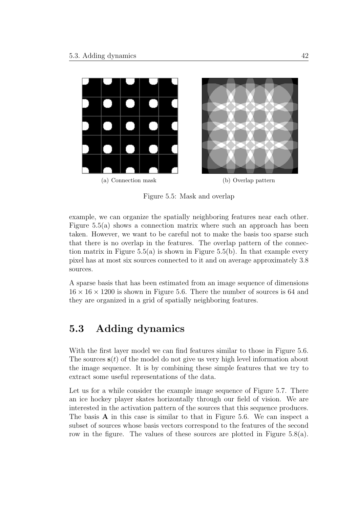

Figure 5.5: Mask and overlap

example, we can organize the spatially neighboring features near each other. Figure  $5.5(a)$  shows a connection matrix where such an approach has been taken. However, we want to be careful not to make the basis too sparse such that there is no overlap in the features. The overlap pattern of the connection matrix in Figure 5.5(a) is shown in Figure 5.5(b). In that example every pixel has at most six sources connected to it and on average approximately 3.8 sources.

A sparse basis that has been estimated from an image sequence of dimensions  $16 \times 16 \times 1200$  is shown in Figure 5.6. There the number of sources is 64 and they are organized in a grid of spatially neighboring features.

### 5.3 Adding dynamics

With the first layer model we can find features similar to those in Figure 5.6. The sources  $s(t)$  of the model do not give us very high level information about the image sequence. It is by combining these simple features that we try to extract some useful representations of the data.

Let us for a while consider the example image sequence of Figure 5.7. There an ice hockey player skates horizontally through our field of vision. We are interested in the activation pattern of the sources that this sequence produces. The basis A in this case is similar to that in Figure 5.6. We can inspect a subset of sources whose basis vectors correspond to the features of the second row in the figure. The values of these sources are plotted in Figure 5.8(a).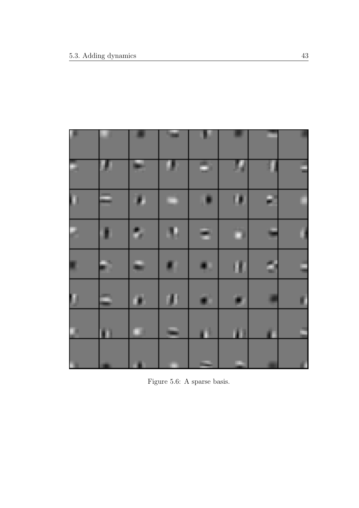| ×  |    | ш              | n. |    | m  |   | ×  |
|----|----|----------------|----|----|----|---|----|
| ۰  |    | س              | u. | a, | ц  |   | E  |
| ū  |    | P.             | Ξ  | ×  | m  | ₽ |    |
|    |    | в              | ŧ, | а  | n. |   |    |
| s, | a, | ×              | 81 | 41 | Đ  | ٥ | Ę  |
| O  | ۵  | $\blacksquare$ | m  | a, | ø  | m | ı  |
| 74 | m  | a.             | F  | Ó  | m  |   | E  |
| m. |    | - 33           | m  |    | m. | ٠ | a. |

Figure 5.6: A sparse basis.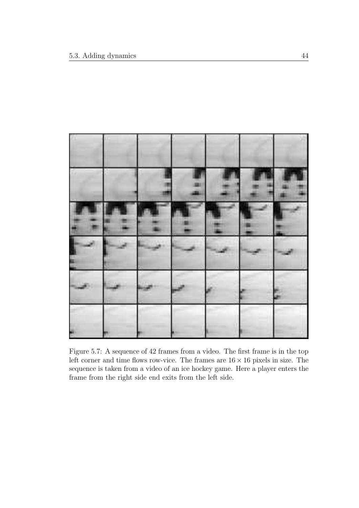

Figure 5.7: A sequence of 42 frames from a video. The first frame is in the top left corner and time flows row-vice. The frames are  $16 \times 16$  pixels in size. The sequence is taken from a video of an ice hockey game. Here a player enters the frame from the right side end exits from the left side.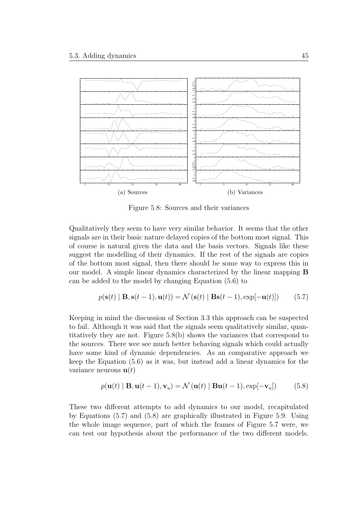

Figure 5.8: Sources and their variances

Qualitatively they seem to have very similar behavior. It seems that the other signals are in their basic nature delayed copies of the bottom most signal. This of course is natural given the data and the basis vectors. Signals like these suggest the modelling of their dynamics. If the rest of the signals are copies of the bottom most signal, then there should be some way to express this in our model. A simple linear dynamics characterized by the linear mapping B can be added to the model by changing Equation (5.6) to

$$
p(\mathbf{s}(t) | \mathbf{B}, \mathbf{s}(t-1), \mathbf{u}(t)) = \mathcal{N}(\mathbf{s}(t) | \mathbf{B}\mathbf{s}(t-1), \exp[-\mathbf{u}(t)]) \qquad (5.7)
$$

Keeping in mind the discussion of Section 3.3 this approach can be suspected to fail. Although it was said that the signals seem qualitatively similar, quantitatively they are not. Figure 5.8(b) shows the variances that correspond to the sources. There wee see much better behaving signals which could actually have some kind of dynamic dependencies. As an comparative approach we keep the Equation (5.6) as it was, but instead add a linear dynamics for the variance neurons  $\mathbf{u}(t)$ 

$$
p(\mathbf{u}(t) | \mathbf{B}, \mathbf{u}(t-1), \mathbf{v}_u) = \mathcal{N}(\mathbf{u}(t) | \mathbf{B}\mathbf{u}(t-1), \exp[-\mathbf{v}_u])
$$
 (5.8)

These two different attempts to add dynamics to our model, recapitulated by Equations (5.7) and (5.8) are graphically illustrated in Figure 5.9. Using the whole image sequence, part of which the frames of Figure 5.7 were, we can test our hypothesis about the performance of the two different models.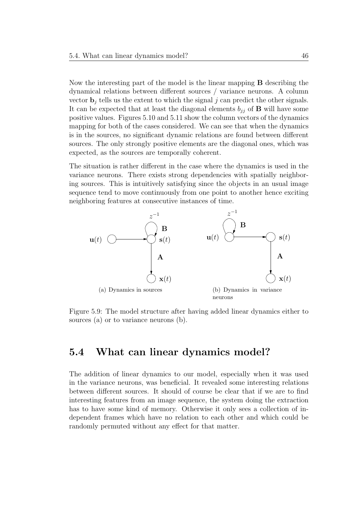Now the interesting part of the model is the linear mapping B describing the dynamical relations between different sources / variance neurons. A column vector  $\mathbf{b}_j$  tells us the extent to which the signal j can predict the other signals. It can be expected that at least the diagonal elements  $b_{ij}$  of **B** will have some positive values. Figures 5.10 and 5.11 show the column vectors of the dynamics mapping for both of the cases considered. We can see that when the dynamics is in the sources, no significant dynamic relations are found between different sources. The only strongly positive elements are the diagonal ones, which was expected, as the sources are temporally coherent.

The situation is rather different in the case where the dynamics is used in the variance neurons. There exists strong dependencies with spatially neighboring sources. This is intuitively satisfying since the objects in an usual image sequence tend to move continuously from one point to another hence exciting neighboring features at consecutive instances of time.



Figure 5.9: The model structure after having added linear dynamics either to sources (a) or to variance neurons (b).

### 5.4 What can linear dynamics model?

The addition of linear dynamics to our model, especially when it was used in the variance neurons, was beneficial. It revealed some interesting relations between different sources. It should of course be clear that if we are to find interesting features from an image sequence, the system doing the extraction has to have some kind of memory. Otherwise it only sees a collection of independent frames which have no relation to each other and which could be randomly permuted without any effect for that matter.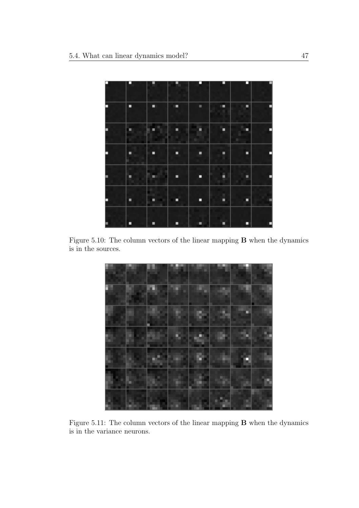

Figure 5.10: The column vectors of the linear mapping B when the dynamics is in the sources.



Figure 5.11: The column vectors of the linear mapping B when the dynamics is in the variance neurons.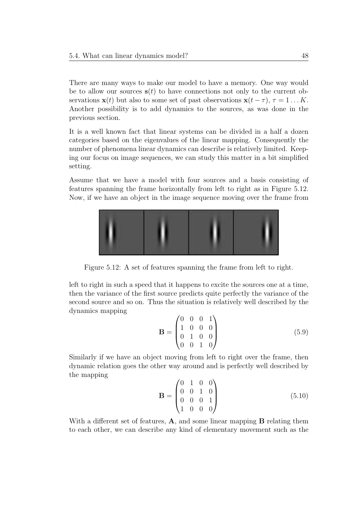There are many ways to make our model to have a memory. One way would be to allow our sources  $s(t)$  to have connections not only to the current observations  $\mathbf{x}(t)$  but also to some set of past observations  $\mathbf{x}(t - \tau)$ ,  $\tau = 1 \dots K$ . Another possibility is to add dynamics to the sources, as was done in the previous section.

It is a well known fact that linear systems can be divided in a half a dozen categories based on the eigenvalues of the linear mapping. Consequently the number of phenomena linear dynamics can describe is relatively limited. Keeping our focus on image sequences, we can study this matter in a bit simplified setting.

Assume that we have a model with four sources and a basis consisting of features spanning the frame horizontally from left to right as in Figure 5.12. Now, if we have an object in the image sequence moving over the frame from



Figure 5.12: A set of features spanning the frame from left to right.

left to right in such a speed that it happens to excite the sources one at a time, then the variance of the first source predicts quite perfectly the variance of the second source and so on. Thus the situation is relatively well described by the dynamics mapping

$$
\mathbf{B} = \begin{pmatrix} 0 & 0 & 0 & 1 \\ 1 & 0 & 0 & 0 \\ 0 & 1 & 0 & 0 \\ 0 & 0 & 1 & 0 \end{pmatrix}
$$
 (5.9)

Similarly if we have an object moving from left to right over the frame, then dynamic relation goes the other way around and is perfectly well described by the mapping

$$
\mathbf{B} = \begin{pmatrix} 0 & 1 & 0 & 0 \\ 0 & 0 & 1 & 0 \\ 0 & 0 & 0 & 1 \\ 1 & 0 & 0 & 0 \end{pmatrix}
$$
 (5.10)

With a different set of features, **A**, and some linear mapping **B** relating them to each other, we can describe any kind of elementary movement such as the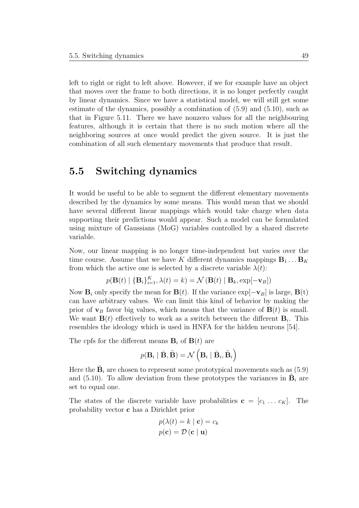left to right or right to left above. However, if we for example have an object that moves over the frame to both directions, it is no longer perfectly caught by linear dynamics. Since we have a statistical model, we will still get some estimate of the dynamics, possibly a combination of (5.9) and (5.10), such as that in Figure 5.11. There we have nonzero values for all the neighbouring features, although it is certain that there is no such motion where all the neighboring sources at once would predict the given source. It is just the combination of all such elementary movements that produce that result.

#### 5.5 Switching dynamics

It would be useful to be able to segment the different elementary movements described by the dynamics by some means. This would mean that we should have several different linear mappings which would take charge when data supporting their predictions would appear. Such a model can be formulated using mixture of Gaussians (MoG) variables controlled by a shared discrete variable.

Now, our linear mapping is no longer time-independent but varies over the time course. Assume that we have K different dynamics mappings  $B_1 \dots B_K$ from which the active one is selected by a discrete variable  $\lambda(t)$ :

$$
p(\mathbf{B}(t) | \{\mathbf{B}_i\}_{i=1}^K, \lambda(t) = k) = \mathcal{N}(\mathbf{B}(t) | \mathbf{B}_k, \exp[-\mathbf{v}_B])
$$

Now  $\mathbf{B}_i$  only specify the mean for  $\mathbf{B}(t)$ . If the variance  $\exp[-\mathbf{v}_B]$  is large,  $\mathbf{B}(t)$ can have arbitrary values. We can limit this kind of behavior by making the prior of  $\mathbf{v}_B$  favor big values, which means that the variance of  $\mathbf{B}(t)$  is small. We want  $\mathbf{B}(t)$  effectively to work as a switch between the different  $\mathbf{B}_i$ . This resembles the ideology which is used in HNFA for the hidden neurons [54].

The cpfs for the different means  $\mathbf{B}_i$  of  $\mathbf{B}(t)$  are

$$
p(\mathbf{B}_i \mid \bar{\mathbf{B}}, \tilde{\mathbf{B}}) = \mathcal{N}\left(\mathbf{B}_i \mid \bar{\mathbf{B}}_i, \tilde{\mathbf{B}}_i\right)
$$

Here the  $\bar{\mathbf{B}}_i$  are chosen to represent some prototypical movements such as (5.9) and (5.10). To allow deviation from these prototypes the variances in  $\tilde{\mathbf{B}}_i$  are set to equal one.

The states of the discrete variable have probabilities  $\mathbf{c} = [c_1 \dots c_K]$ . The probability vector c has a Dirichlet prior

$$
p(\lambda(t) = k \mid \mathbf{c}) = c_k
$$

$$
p(\mathbf{c}) = \mathcal{D}(\mathbf{c} \mid \mathbf{u})
$$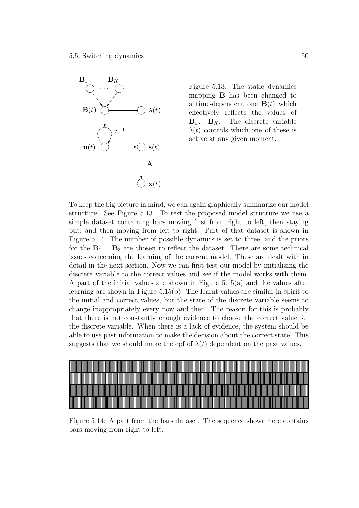

Figure 5.13: The static dynamics mapping B has been changed to a time-dependent one  $\mathbf{B}(t)$  which effectively reflects the values of  $\mathbf{B}_1 \dots \mathbf{B}_K$ . The discrete variable  $\lambda(t)$  controls which one of these is active at any given moment.

To keep the big picture in mind, we can again graphically summarize our model structure. See Figure 5.13. To test the proposed model structure we use a simple dataset containing bars moving first from right to left, then staying put, and then moving from left to right. Part of that dataset is shown in Figure 5.14. The number of possible dynamics is set to three, and the priors for the  $B_1 \ldots B_3$  are chosen to reflect the dataset. There are some technical issues concerning the learning of the current model. These are dealt with in detail in the next section. Now we can first test our model by initializing the discrete variable to the correct values and see if the model works with them. A part of the initial values are shown in Figure 5.15(a) and the values after learning are shown in Figure 5.15(b). The learnt values are similar in spirit to the initial and correct values, but the state of the discrete variable seems to change inappropriately every now and then. The reason for this is probably that there is not constantly enough evidence to choose the correct value for the discrete variable. When there is a lack of evidence, the system should be able to use past information to make the decision about the correct state. This suggests that we should make the cpf of  $\lambda(t)$  dependent on the past values.



Figure 5.14: A part from the bars dataset. The sequence shown here contains bars moving from right to left.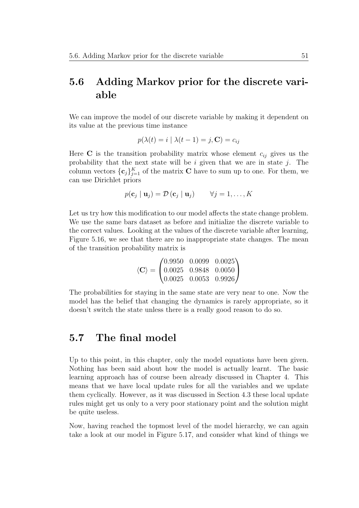### 5.6 Adding Markov prior for the discrete variable

We can improve the model of our discrete variable by making it dependent on its value at the previous time instance

$$
p(\lambda(t) = i \mid \lambda(t - 1) = j, \mathbf{C}) = c_{ij}
$$

Here C is the transition probability matrix whose element  $c_{ij}$  gives us the probability that the next state will be  $i$  given that we are in state  $j$ . The column vectors  $\{\mathbf{c}_j\}_{j=1}^K$  of the matrix **C** have to sum up to one. For them, we can use Dirichlet priors

$$
p(\mathbf{c}_j \mid \mathbf{u}_j) = \mathcal{D}(\mathbf{c}_j \mid \mathbf{u}_j)
$$
  $\forall j = 1, ..., K$ 

Let us try how this modification to our model affects the state change problem. We use the same bars dataset as before and initialize the discrete variable to the correct values. Looking at the values of the discrete variable after learning, Figure 5.16, we see that there are no inappropriate state changes. The mean of the transition probability matrix is

$$
\langle \mathbf{C} \rangle = \begin{pmatrix} 0.9950 & 0.0099 & 0.0025 \\ 0.0025 & 0.9848 & 0.0050 \\ 0.0025 & 0.0053 & 0.9926 \end{pmatrix}
$$

The probabilities for staying in the same state are very near to one. Now the model has the belief that changing the dynamics is rarely appropriate, so it doesn't switch the state unless there is a really good reason to do so.

#### 5.7 The final model

Up to this point, in this chapter, only the model equations have been given. Nothing has been said about how the model is actually learnt. The basic learning approach has of course been already discussed in Chapter 4. This means that we have local update rules for all the variables and we update them cyclically. However, as it was discussed in Section 4.3 these local update rules might get us only to a very poor stationary point and the solution might be quite useless.

Now, having reached the topmost level of the model hierarchy, we can again take a look at our model in Figure 5.17, and consider what kind of things we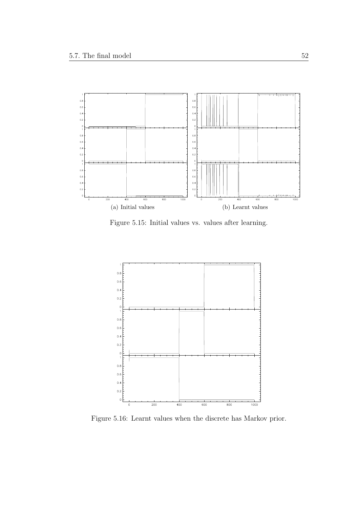

Figure 5.15: Initial values vs. values after learning.



Figure 5.16: Learnt values when the discrete has Markov prior.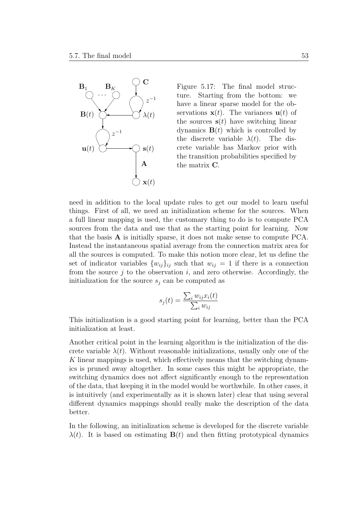

Figure 5.17: The final model structure. Starting from the bottom: we have a linear sparse model for the observations  $\mathbf{x}(t)$ . The variances  $\mathbf{u}(t)$  of the sources  $s(t)$  have switching linear dynamics  $\mathbf{B}(t)$  which is controlled by the discrete variable  $\lambda(t)$ . The discrete variable has Markov prior with the transition probabilities specified by the matrix C.

need in addition to the local update rules to get our model to learn useful things. First of all, we need an initialization scheme for the sources. When a full linear mapping is used, the customary thing to do is to compute PCA sources from the data and use that as the starting point for learning. Now that the basis A is initially sparse, it does not make sense to compute PCA. Instead the instantaneous spatial average from the connection matrix area for all the sources is computed. To make this notion more clear, let us define the set of indicator variables  $\{w_{ij}\}_{ij}$  such that  $w_{ij} = 1$  if there is a connection from the source  $j$  to the observation  $i$ , and zero otherwise. Accordingly, the initialization for the source  $s_i$  can be computed as

$$
s_j(t) = \frac{\sum_i w_{ij} x_i(t)}{\sum_i w_{ij}}
$$

This initialization is a good starting point for learning, better than the PCA initialization at least.

Another critical point in the learning algorithm is the initialization of the discrete variable  $\lambda(t)$ . Without reasonable initializations, usually only one of the K linear mappings is used, which effectively means that the switching dynamics is pruned away altogether. In some cases this might be appropriate, the switching dynamics does not affect significantly enough to the representation of the data, that keeping it in the model would be worthwhile. In other cases, it is intuitively (and experimentally as it is shown later) clear that using several different dynamics mappings should really make the description of the data better.

In the following, an initialization scheme is developed for the discrete variable  $\lambda(t)$ . It is based on estimating  $\mathbf{B}(t)$  and then fitting prototypical dynamics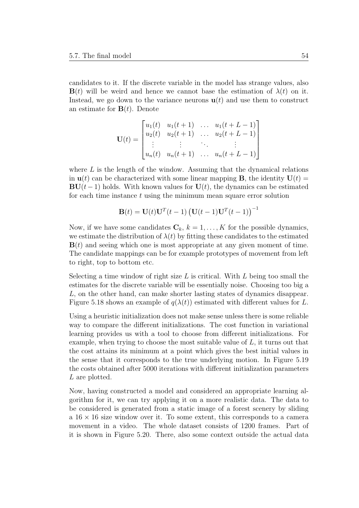candidates to it. If the discrete variable in the model has strange values, also  $B(t)$  will be weird and hence we cannot base the estimation of  $\lambda(t)$  on it. Instead, we go down to the variance neurons  $\mathbf{u}(t)$  and use them to construct an estimate for  $\mathbf{B}(t)$ . Denote

$$
\mathbf{U}(t) = \begin{bmatrix} u_1(t) & u_1(t+1) & \dots & u_1(t+L-1) \\ u_2(t) & u_2(t+1) & \dots & u_2(t+L-1) \\ \vdots & \vdots & \ddots & \vdots \\ u_n(t) & u_n(t+1) & \dots & u_n(t+L-1) \end{bmatrix}
$$

where  $L$  is the length of the window. Assuming that the dynamical relations in  $u(t)$  can be characterized with some linear mapping **B**, the identity  $U(t)$  =  $\mathbf{BU}(t-1)$  holds. With known values for  $\mathbf{U}(t)$ , the dynamics can be estimated for each time instance  $t$  using the minimum mean square error solution

$$
\mathbf{B}(t) = \mathbf{U}(t)\mathbf{U}^T(t-1)\left(\mathbf{U}(t-1)\mathbf{U}^T(t-1)\right)^{-1}
$$

Now, if we have some candidates  $\mathbf{C}_k$ ,  $k = 1, \ldots, K$  for the possible dynamics, we estimate the distribution of  $\lambda(t)$  by fitting these candidates to the estimated  **and seeing which one is most appropriate at any given moment of time.** The candidate mappings can be for example prototypes of movement from left to right, top to bottom etc.

Selecting a time window of right size  $L$  is critical. With  $L$  being too small the estimates for the discrete variable will be essentially noise. Choosing too big a L, on the other hand, can make shorter lasting states of dynamics disappear. Figure 5.18 shows an example of  $q(\lambda(t))$  estimated with different values for L.

Using a heuristic initialization does not make sense unless there is some reliable way to compare the different initializations. The cost function in variational learning provides us with a tool to choose from different initializations. For example, when trying to choose the most suitable value of L, it turns out that the cost attains its minimum at a point which gives the best initial values in the sense that it corresponds to the true underlying motion. In Figure 5.19 the costs obtained after 5000 iterations with different initialization parameters L are plotted.

Now, having constructed a model and considered an appropriate learning algorithm for it, we can try applying it on a more realistic data. The data to be considered is generated from a static image of a forest scenery by sliding a  $16 \times 16$  size window over it. To some extent, this corresponds to a camera movement in a video. The whole dataset consists of 1200 frames. Part of it is shown in Figure 5.20. There, also some context outside the actual data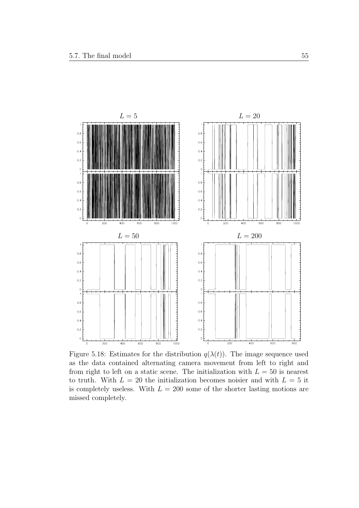

Figure 5.18: Estimates for the distribution  $q(\lambda(t))$ . The image sequence used as the data contained alternating camera movement from left to right and from right to left on a static scene. The initialization with  $L = 50$  is nearest to truth. With  $L = 20$  the initialization becomes noisier and with  $L = 5$  it is completely useless. With  $L = 200$  some of the shorter lasting motions are missed completely.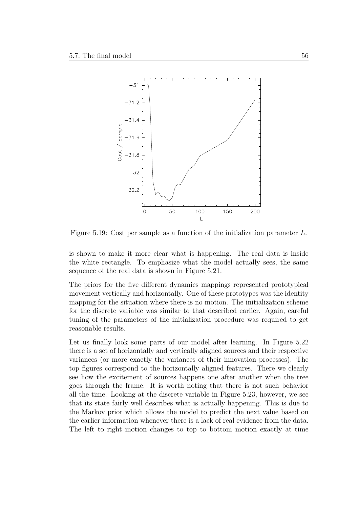

Figure 5.19: Cost per sample as a function of the initialization parameter L.

is shown to make it more clear what is happening. The real data is inside the white rectangle. To emphasize what the model actually sees, the same sequence of the real data is shown in Figure 5.21.

The priors for the five different dynamics mappings represented prototypical movement vertically and horizontally. One of these prototypes was the identity mapping for the situation where there is no motion. The initialization scheme for the discrete variable was similar to that described earlier. Again, careful tuning of the parameters of the initialization procedure was required to get reasonable results.

Let us finally look some parts of our model after learning. In Figure 5.22 there is a set of horizontally and vertically aligned sources and their respective variances (or more exactly the variances of their innovation processes). The top figures correspond to the horizontally aligned features. There we clearly see how the excitement of sources happens one after another when the tree goes through the frame. It is worth noting that there is not such behavior all the time. Looking at the discrete variable in Figure 5.23, however, we see that its state fairly well describes what is actually happening. This is due to the Markov prior which allows the model to predict the next value based on the earlier information whenever there is a lack of real evidence from the data. The left to right motion changes to top to bottom motion exactly at time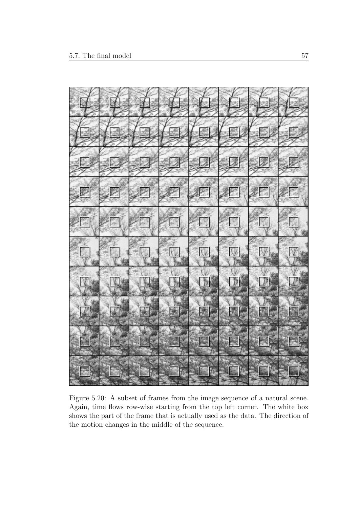

Figure 5.20: A subset of frames from the image sequence of a natural scene. Again, time flows row-wise starting from the top left corner. The white box shows the part of the frame that is actually used as the data. The direction of the motion changes in the middle of the sequence.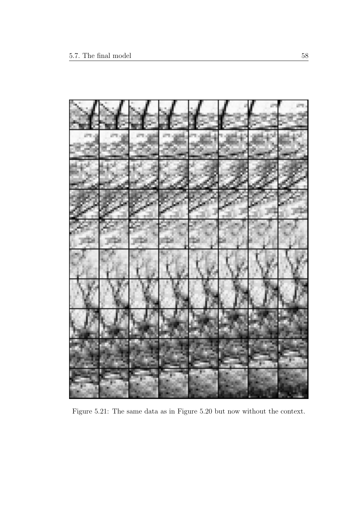

Figure 5.21: The same data as in Figure 5.20 but now without the context.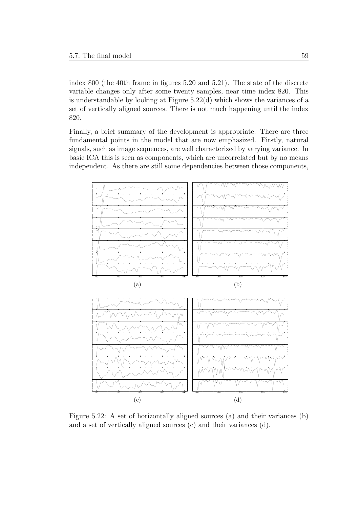index 800 (the 40th frame in figures 5.20 and 5.21). The state of the discrete variable changes only after some twenty samples, near time index 820. This is understandable by looking at Figure 5.22(d) which shows the variances of a set of vertically aligned sources. There is not much happening until the index 820.

Finally, a brief summary of the development is appropriate. There are three fundamental points in the model that are now emphasized. Firstly, natural signals, such as image sequences, are well characterized by varying variance. In basic ICA this is seen as components, which are uncorrelated but by no means independent. As there are still some dependencies between those components,



Figure 5.22: A set of horizontally aligned sources (a) and their variances (b) and a set of vertically aligned sources (c) and their variances (d).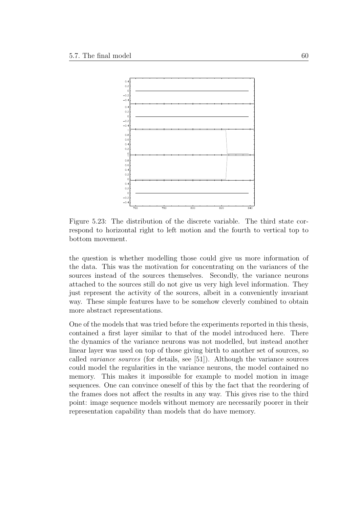

Figure 5.23: The distribution of the discrete variable. The third state correspond to horizontal right to left motion and the fourth to vertical top to bottom movement.

the question is whether modelling those could give us more information of the data. This was the motivation for concentrating on the variances of the sources instead of the sources themselves. Secondly, the variance neurons attached to the sources still do not give us very high level information. They just represent the activity of the sources, albeit in a conveniently invariant way. These simple features have to be somehow cleverly combined to obtain more abstract representations.

One of the models that was tried before the experiments reported in this thesis, contained a first layer similar to that of the model introduced here. There the dynamics of the variance neurons was not modelled, but instead another linear layer was used on top of those giving birth to another set of sources, so called variance sources (for details, see [51]). Although the variance sources could model the regularities in the variance neurons, the model contained no memory. This makes it impossible for example to model motion in image sequences. One can convince oneself of this by the fact that the reordering of the frames does not affect the results in any way. This gives rise to the third point: image sequence models without memory are necessarily poorer in their representation capability than models that do have memory.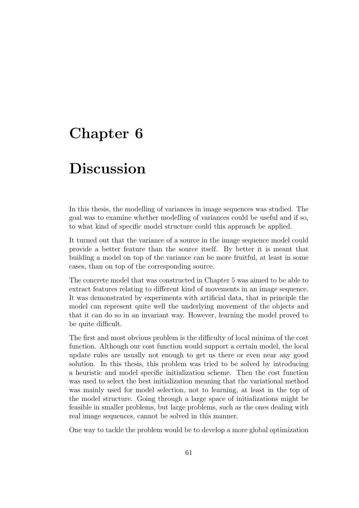# Chapter 6

# Discussion

In this thesis, the modelling of variances in image sequences was studied. The goal was to examine whether modelling of variances could be useful and if so, to what kind of specific model structure could this approach be applied.

It turned out that the variance of a source in the image sequence model could provide a better feature than the source itself. By better it is meant that building a model on top of the variance can be more fruitful, at least in some cases, than on top of the corresponding source.

The concrete model that was constructed in Chapter 5 was aimed to be able to extract features relating to different kind of movements in an image sequence. It was demonstrated by experiments with artificial data, that in principle the model can represent quite well the underlying movement of the objects and that it can do so in an invariant way. However, learning the model proved to be quite difficult.

The first and most obvious problem is the difficulty of local minima of the cost function. Although our cost function would support a certain model, the local update rules are usually not enough to get us there or even near any good solution. In this thesis, this problem was tried to be solved by introducing a heuristic and model specific initialization scheme. Then the cost function was used to select the best initialization meaning that the variational method was mainly used for model selection, not to learning, at least in the top of the model structure. Going through a large space of initializations might be feasible in smaller problems, but large problems, such as the ones dealing with real image sequences, cannot be solved in this manner.

One way to tackle the problem would be to develop a more global optimization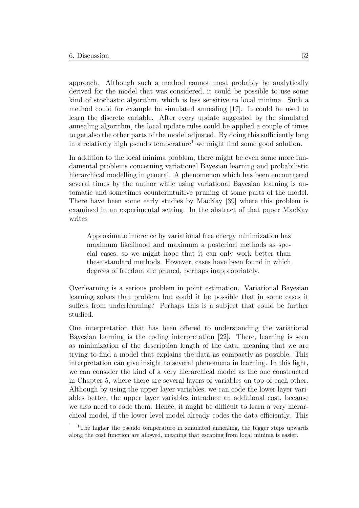approach. Although such a method cannot most probably be analytically derived for the model that was considered, it could be possible to use some kind of stochastic algorithm, which is less sensitive to local minima. Such a method could for example be simulated annealing [17]. It could be used to learn the discrete variable. After every update suggested by the simulated annealing algorithm, the local update rules could be applied a couple of times to get also the other parts of the model adjusted. By doing this sufficiently long in a relatively high pseudo temperature<sup>1</sup> we might find some good solution.

In addition to the local minima problem, there might be even some more fundamental problems concerning variational Bayesian learning and probabilistic hierarchical modelling in general. A phenomenon which has been encountered several times by the author while using variational Bayesian learning is automatic and sometimes counterintuitive pruning of some parts of the model. There have been some early studies by MacKay [39] where this problem is examined in an experimental setting. In the abstract of that paper MacKay writes

Approximate inference by variational free energy minimization has maximum likelihood and maximum a posteriori methods as special cases, so we might hope that it can only work better than these standard methods. However, cases have been found in which degrees of freedom are pruned, perhaps inappropriately.

Overlearning is a serious problem in point estimation. Variational Bayesian learning solves that problem but could it be possible that in some cases it suffers from underlearning? Perhaps this is a subject that could be further studied.

One interpretation that has been offered to understanding the variational Bayesian learning is the coding interpretation [22]. There, learning is seen as minimization of the description length of the data, meaning that we are trying to find a model that explains the data as compactly as possible. This interpretation can give insight to several phenomena in learning. In this light, we can consider the kind of a very hierarchical model as the one constructed in Chapter 5, where there are several layers of variables on top of each other. Although by using the upper layer variables, we can code the lower layer variables better, the upper layer variables introduce an additional cost, because we also need to code them. Hence, it might be difficult to learn a very hierarchical model, if the lower level model already codes the data efficiently. This

<sup>&</sup>lt;sup>1</sup>The higher the pseudo temperature in simulated annealing, the bigger steps upwards along the cost function are allowed, meaning that escaping from local minima is easier.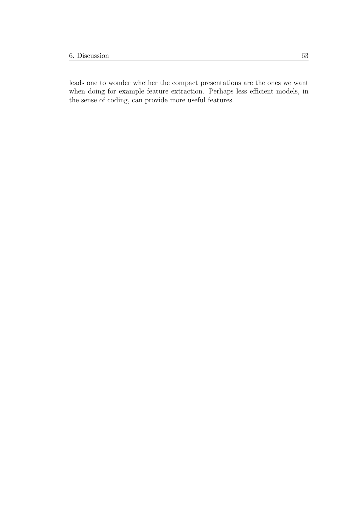leads one to wonder whether the compact presentations are the ones we want when doing for example feature extraction. Perhaps less efficient models, in the sense of coding, can provide more useful features.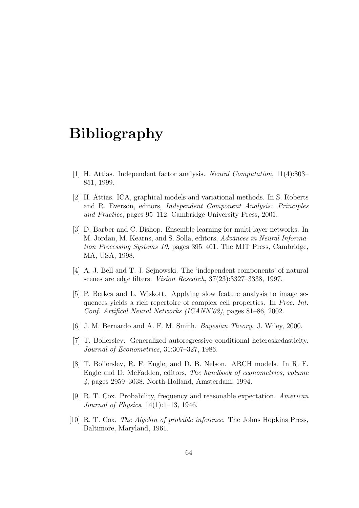# Bibliography

- [1] H. Attias. Independent factor analysis. Neural Computation, 11(4):803– 851, 1999.
- [2] H. Attias. ICA, graphical models and variational methods. In S. Roberts and R. Everson, editors, Independent Component Analysis: Principles and Practice, pages 95–112. Cambridge University Press, 2001.
- [3] D. Barber and C. Bishop. Ensemble learning for multi-layer networks. In M. Jordan, M. Kearns, and S. Solla, editors, Advances in Neural Information Processing Systems 10, pages 395–401. The MIT Press, Cambridge, MA, USA, 1998.
- [4] A. J. Bell and T. J. Sejnowski. The 'independent components' of natural scenes are edge filters. Vision Research, 37(23):3327–3338, 1997.
- [5] P. Berkes and L. Wiskott. Applying slow feature analysis to image sequences yields a rich repertoire of complex cell properties. In Proc. Int. Conf. Artifical Neural Networks (ICANN'02), pages 81–86, 2002.
- [6] J. M. Bernardo and A. F. M. Smith. Bayesian Theory. J. Wiley, 2000.
- [7] T. Bollerslev. Generalized autoregressive conditional heteroskedasticity. Journal of Econometrics, 31:307–327, 1986.
- [8] T. Bollerslev, R. F. Engle, and D. B. Nelson. ARCH models. In R. F. Engle and D. McFadden, editors, The handbook of econometrics, volume 4, pages 2959–3038. North-Holland, Amsterdam, 1994.
- [9] R. T. Cox. Probability, frequency and reasonable expectation. American Journal of Physics, 14(1):1–13, 1946.
- [10] R. T. Cox. The Algebra of probable inference. The Johns Hopkins Press, Baltimore, Maryland, 1961.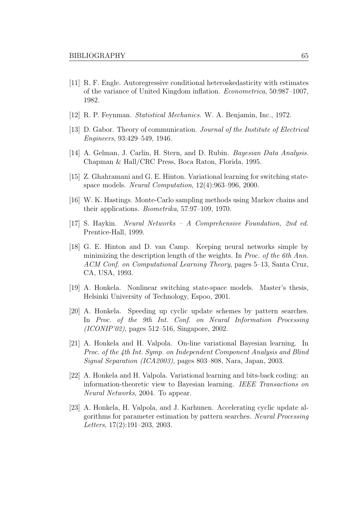- [11] R. F. Engle. Autoregressive conditional heteroskedasticity with estimates of the variance of United Kingdom inflation. Econometrica, 50:987–1007, 1982.
- [12] R. P. Feynman. Statistical Mechanics. W. A. Benjamin, Inc., 1972.
- [13] D. Gabor. Theory of communication. Journal of the Institute of Electrical Engineers, 93:429–549, 1946.
- [14] A. Gelman, J. Carlin, H. Stern, and D. Rubin. *Bayesian Data Analysis*. Chapman & Hall/CRC Press, Boca Raton, Florida, 1995.
- [15] Z. Ghahramani and G. E. Hinton. Variational learning for switching statespace models. Neural Computation, 12(4):963–996, 2000.
- [16] W. K. Hastings. Monte-Carlo sampling methods using Markov chains and their applications. Biometrika, 57:97–109, 1970.
- [17] S. Haykin. Neural Networks A Comprehensive Foundation, 2nd ed. Prentice-Hall, 1999.
- [18] G. E. Hinton and D. van Camp. Keeping neural networks simple by minimizing the description length of the weights. In *Proc. of the 6th Ann*. ACM Conf. on Computational Learning Theory, pages 5–13, Santa Cruz, CA, USA, 1993.
- [19] A. Honkela. Nonlinear switching state-space models. Master's thesis, Helsinki University of Technology, Espoo, 2001.
- [20] A. Honkela. Speeding up cyclic update schemes by pattern searches. In Proc. of the 9th Int. Conf. on Neural Information Processing (ICONIP'02), pages 512–516, Singapore, 2002.
- [21] A. Honkela and H. Valpola. On-line variational Bayesian learning. In Proc. of the 4th Int. Symp. on Independent Component Analysis and Blind Signal Separation (ICA2003), pages 803–808, Nara, Japan, 2003.
- [22] A. Honkela and H. Valpola. Variational learning and bits-back coding: an information-theoretic view to Bayesian learning. IEEE Transactions on Neural Networks, 2004. To appear.
- [23] A. Honkela, H. Valpola, and J. Karhunen. Accelerating cyclic update algorithms for parameter estimation by pattern searches. Neural Processing Letters, 17(2):191–203, 2003.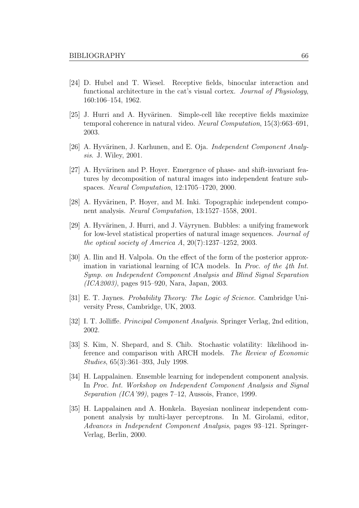- [24] D. Hubel and T. Wiesel. Receptive fields, binocular interaction and functional architecture in the cat's visual cortex. Journal of Physiology, 160:106–154, 1962.
- [25] J. Hurri and A. Hyvärinen. Simple-cell like receptive fields maximize temporal coherence in natural video. Neural Computation, 15(3):663–691, 2003.
- [26] A. Hyvärinen, J. Karhunen, and E. Oja. *Independent Component Analy*sis. J. Wiley, 2001.
- [27] A. Hyvärinen and P. Hoyer. Emergence of phase- and shift-invariant features by decomposition of natural images into independent feature subspaces. Neural Computation, 12:1705–1720, 2000.
- [28] A. Hyvärinen, P. Hoyer, and M. Inki. Topographic independent component analysis. Neural Computation, 13:1527–1558, 2001.
- [29] A. Hyvärinen, J. Hurri, and J. Väyrynen. Bubbles: a unifying framework for low-level statistical properties of natural image sequences. Journal of the optical society of America A,  $20(7):1237-1252$ , 2003.
- [30] A. Ilin and H. Valpola. On the effect of the form of the posterior approximation in variational learning of ICA models. In Proc. of the 4th Int. Symp. on Independent Component Analysis and Blind Signal Separation (ICA2003), pages 915–920, Nara, Japan, 2003.
- [31] E. T. Jaynes. Probability Theory: The Logic of Science. Cambridge University Press, Cambridge, UK, 2003.
- [32] I. T. Jolliffe. Principal Component Analysis. Springer Verlag, 2nd edition, 2002.
- [33] S. Kim, N. Shepard, and S. Chib. Stochastic volatility: likelihood inference and comparison with ARCH models. The Review of Economic Studies, 65(3):361–393, July 1998.
- [34] H. Lappalainen. Ensemble learning for independent component analysis. In Proc. Int. Workshop on Independent Component Analysis and Signal Separation (ICA'99), pages 7–12, Aussois, France, 1999.
- [35] H. Lappalainen and A. Honkela. Bayesian nonlinear independent component analysis by multi-layer perceptrons. In M. Girolami, editor, Advances in Independent Component Analysis, pages 93–121. Springer-Verlag, Berlin, 2000.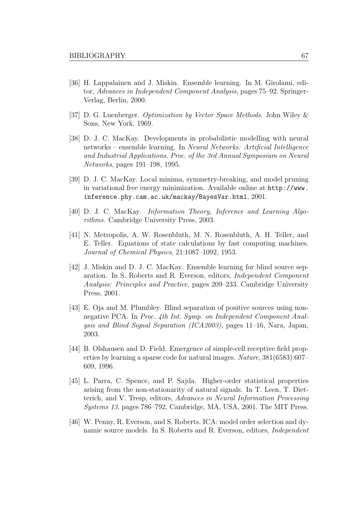- [36] H. Lappalainen and J. Miskin. Ensemble learning. In M. Girolami, editor, Advances in Independent Component Analysis, pages 75–92. Springer-Verlag, Berlin, 2000.
- [37] D. G. Luenberger. Optimization by Vector Space Methods. John Wiley & Sons, New York, 1969.
- [38] D. J. C. MacKay. Developments in probabilistic modelling with neural networks – ensemble learning. In Neural Networks: Artificial Intelligence and Industrial Applications. Proc. of the 3rd Annual Symposium on Neural Networks, pages 191–198, 1995.
- [39] D. J. C. MacKay. Local minima, symmetry-breaking, and model pruning in variational free energy minimization. Available online at http://www. inference.phy.cam.ac.uk/mackay/BayesVar.html, 2001.
- [40] D. J. C. MacKay. Information Theory, Inference and Learning Algorithms. Cambridge University Press, 2003.
- [41] N. Metropolis, A. W. Rosenbluth, M. N. Rosenbluth, A. H. Teller, and E. Teller. Equations of state calculations by fast computing machines. Journal of Chemical Physics, 21:1087–1092, 1953.
- [42] J. Miskin and D. J. C. MacKay. Ensemble learning for blind source separation. In S. Roberts and R. Everson, editors, Independent Component Analysis: Principles and Practice, pages 209–233. Cambridge University Press, 2001.
- [43] E. Oja and M. Plumbley. Blind separation of positive sources using nonnegative PCA. In Proc. 4th Int. Symp. on Independent Component Analysis and Blind Signal Separation (ICA2003), pages 11–16, Nara, Japan, 2003.
- [44] B. Olshausen and D. Field. Emergence of simple-cell receptive field properties by learning a sparse code for natural images. Nature, 381(6583):607– 609, 1996.
- [45] L. Parra, C. Spence, and P. Sajda. Higher-order statistical properties arising from the non-stationarity of natural signals. In T. Leen, T. Dietterich, and V. Tresp, editors, Advances in Neural Information Processing Systems 13, pages 786–792, Cambridge, MA, USA, 2001. The MIT Press.
- [46] W. Penny, R. Everson, and S. Roberts. ICA: model order selection and dynamic source models. In S. Roberts and R. Everson, editors, Independent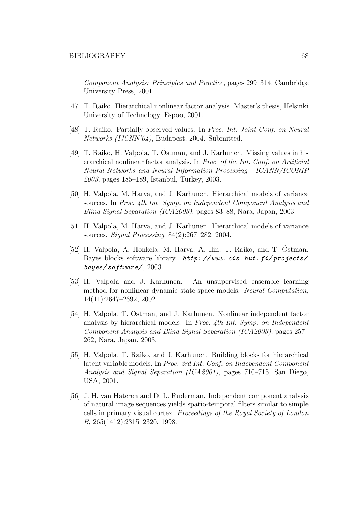Component Analysis: Principles and Practice, pages 299–314. Cambridge University Press, 2001.

- [47] T. Raiko. Hierarchical nonlinear factor analysis. Master's thesis, Helsinki University of Technology, Espoo, 2001.
- [48] T. Raiko. Partially observed values. In Proc. Int. Joint Conf. on Neural Networks (IJCNN'04), Budapest, 2004. Submitted.
- [49] T. Raiko, H. Valpola, T. Östman, and J. Karhunen. Missing values in hierarchical nonlinear factor analysis. In Proc. of the Int. Conf. on Artificial Neural Networks and Neural Information Processing - ICANN/ICONIP 2003, pages 185–189, Istanbul, Turkey, 2003.
- [50] H. Valpola, M. Harva, and J. Karhunen. Hierarchical models of variance sources. In Proc. 4th Int. Symp. on Independent Component Analysis and Blind Signal Separation (ICA2003), pages 83–88, Nara, Japan, 2003.
- [51] H. Valpola, M. Harva, and J. Karhunen. Hierarchical models of variance sources. Signal Processing, 84(2):267–282, 2004.
- [52] H. Valpola, A. Honkela, M. Harva, A. Ilin, T. Raiko, and T. Östman. Bayes blocks software library. http: // www. cis. hut. fi/ projects/ bayes/ software/ , 2003.
- [53] H. Valpola and J. Karhunen. An unsupervised ensemble learning method for nonlinear dynamic state-space models. Neural Computation, 14(11):2647–2692, 2002.
- [54] H. Valpola, T. Ostman, and J. Karhunen. Nonlinear independent factor analysis by hierarchical models. In Proc. 4th Int. Symp. on Independent Component Analysis and Blind Signal Separation (ICA2003), pages 257– 262, Nara, Japan, 2003.
- [55] H. Valpola, T. Raiko, and J. Karhunen. Building blocks for hierarchical latent variable models. In Proc. 3rd Int. Conf. on Independent Component Analysis and Signal Separation (ICA2001), pages 710–715, San Diego, USA, 2001.
- [56] J. H. van Hateren and D. L. Ruderman. Independent component analysis of natural image sequences yields spatio-temporal filters similar to simple cells in primary visual cortex. Proceedings of the Royal Society of London B, 265(1412):2315–2320, 1998.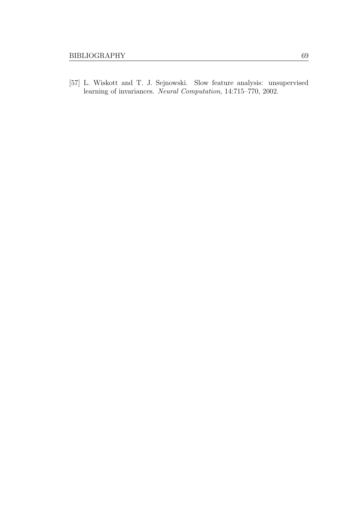[57] L. Wiskott and T. J. Sejnowski. Slow feature analysis: unsupervised learning of invariances. Neural Computation, 14:715–770, 2002.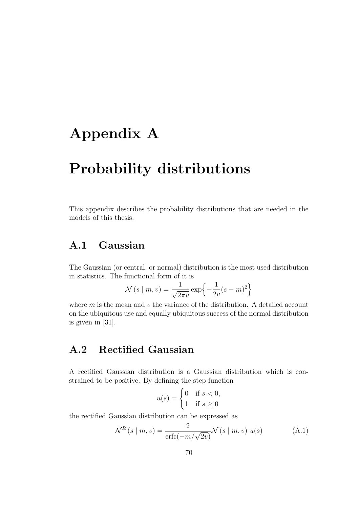# Appendix A

# Probability distributions

This appendix describes the probability distributions that are needed in the models of this thesis.

## A.1 Gaussian

The Gaussian (or central, or normal) distribution is the most used distribution in statistics. The functional form of it is

$$
\mathcal{N}(s \mid m, v) = \frac{1}{\sqrt{2\pi v}} \exp\left\{-\frac{1}{2v}(s - m)^2\right\}
$$

where  $m$  is the mean and  $v$  the variance of the distribution. A detailed account on the ubiquitous use and equally ubiquitous success of the normal distribution is given in [31].

# A.2 Rectified Gaussian

A rectified Gaussian distribution is a Gaussian distribution which is constrained to be positive. By defining the step function

$$
u(s) = \begin{cases} 0 & \text{if } s < 0, \\ 1 & \text{if } s \ge 0 \end{cases}
$$

the rectified Gaussian distribution can be expressed as

$$
\mathcal{N}^{R}(s \mid m, v) = \frac{2}{\text{erfc}(-m/\sqrt{2v})} \mathcal{N}(s \mid m, v) u(s)
$$
 (A.1)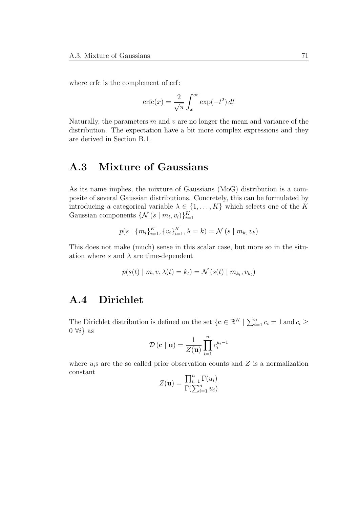where erfc is the complement of erf:

$$
\operatorname{erfc}(x) = \frac{2}{\sqrt{\pi}} \int_x^{\infty} \exp(-t^2) dt
$$

Naturally, the parameters  $m$  and  $v$  are no longer the mean and variance of the distribution. The expectation have a bit more complex expressions and they are derived in Section B.1.

# A.3 Mixture of Gaussians

As its name implies, the mixture of Gaussians (MoG) distribution is a composite of several Gaussian distributions. Concretely, this can be formulated by introducing a categorical variable  $\lambda \in \{1, ..., K\}$  which selects one of the K Gaussian components  $\{ \mathcal{N}(s \mid m_i, v_i) \}_{i=1}^K$ 

$$
p(s | \{m_i\}_{i=1}^K, \{v_i\}_{i=1}^K, \lambda = k) = \mathcal{N}(s | m_k, v_k)
$$

This does not make (much) sense in this scalar case, but more so in the situation where s and  $\lambda$  are time-dependent

$$
p(s(t) | m, v, \lambda(t) = k_t) = \mathcal{N}(s(t) | m_{k_t}, v_{k_t})
$$

## A.4 Dirichlet

The Dirichlet distribution is defined on the set  $\{c \in \mathbb{R}^K \mid \sum_{i=1}^n c_i = 1 \text{ and } c_i \geq 1\}$  $0 \ \forall i$  as

$$
\mathcal{D}\left(\mathbf{c} \mid \mathbf{u}\right) = \frac{1}{Z(\mathbf{u})} \prod_{i=1}^{n} c_i^{u_i - 1}
$$

where  $u_i$ s are the so called prior observation counts and Z is a normalization constant  $\equiv$ 

$$
Z(\mathbf{u}) = \frac{\prod_{i=1}^{n} \Gamma(u_i)}{\Gamma(\sum_{i=1}^{n} u_i)}
$$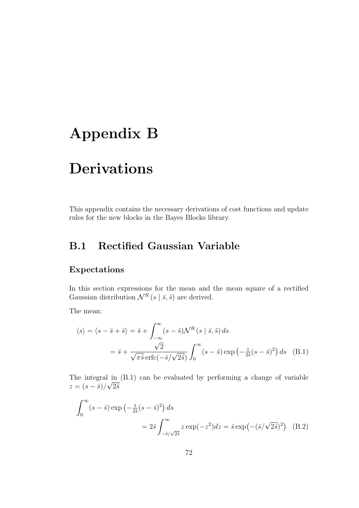# Appendix B

# Derivations

This appendix contains the necessary derivations of cost functions and update rules for the new blocks in the Bayes Blocks library.

# B.1 Rectified Gaussian Variable

## Expectations

In this section expressions for the mean and the mean square of a rectified Gaussian distribution  $\mathcal{N}^R(s | \bar{s}, \tilde{s})$  are derived.

The mean:

$$
\langle s \rangle = \langle s - \bar{s} + \bar{s} \rangle = \bar{s} + \int_{-\infty}^{\infty} (s - \bar{s}) \mathcal{N}^R(s | \bar{s}, \tilde{s}) ds
$$

$$
= \bar{s} + \frac{\sqrt{2}}{\sqrt{\pi \tilde{s}} \operatorname{erfc}(-\bar{s}/\sqrt{2\tilde{s}})} \int_0^{\infty} (s - \bar{s}) \exp\left(-\frac{1}{2\tilde{s}}(s - \bar{s})^2\right) ds \quad \text{(B.1)}
$$

The integral in (B.1) can be evaluated by performing a change of variable  $z = (s - \bar{s})/\sqrt{2\tilde{s}}$ 

$$
\int_0^\infty (s - \bar{s}) \exp\left(-\frac{1}{2\tilde{s}}(s - \bar{s})^2\right) ds
$$
  
= 
$$
2\tilde{s} \int_{-\bar{s}/\sqrt{2\tilde{s}}}^\infty z \exp(-z^2) dz = \tilde{s} \exp\left(-(\bar{s}/\sqrt{2\tilde{s}})^2\right)
$$
 (B.2)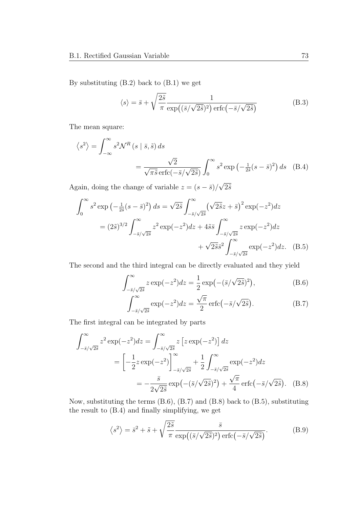By substituting (B.2) back to (B.1) we get

$$
\langle s \rangle = \bar{s} + \sqrt{\frac{2\tilde{s}}{\pi}} \frac{1}{\exp((\bar{s}/\sqrt{2\tilde{s}})^2) \operatorname{erfc}(-\bar{s}/\sqrt{2\tilde{s}})}
$$
(B.3)

The mean square:

$$
\langle s^2 \rangle = \int_{-\infty}^{\infty} s^2 \mathcal{N}^R(s \mid \bar{s}, \tilde{s}) ds
$$
  
= 
$$
\frac{\sqrt{2}}{\sqrt{\pi \tilde{s}} \operatorname{erfc}(-\bar{s}/\sqrt{2\tilde{s}})} \int_0^{\infty} s^2 \exp\left(-\frac{1}{2\tilde{s}}(s - \bar{s})^2\right) ds
$$
 (B.4)

Again, doing the change of variable  $z = (s - \bar{s})/\sqrt{2\tilde{s}}$ 

$$
\int_0^\infty s^2 \exp\left(-\frac{1}{2\tilde{s}}(s-\bar{s})^2\right) ds = \sqrt{2\tilde{s}} \int_{-\bar{s}/\sqrt{2\tilde{s}}}^\infty \left(\sqrt{2\tilde{s}}z + \bar{s}\right)^2 \exp(-z^2) dz
$$

$$
= (2\tilde{s})^{3/2} \int_{-\bar{s}/\sqrt{2\tilde{s}}}^\infty z^2 \exp(-z^2) dz + 4\tilde{s}\bar{s} \int_{-\bar{s}/\sqrt{2\tilde{s}}}^\infty z \exp(-z^2) dz
$$

$$
+ \sqrt{2\tilde{s}}\bar{s}^2 \int_{-\bar{s}/\sqrt{2\tilde{s}}}^\infty \exp(-z^2) dz. \quad (B.5)
$$

The second and the third integral can be directly evaluated and they yield

$$
\int_{-\bar{s}/\sqrt{2\tilde{s}}}^{\infty} z \exp(-z^2) dz = \frac{1}{2} \exp\left(-(\bar{s}/\sqrt{2\tilde{s}})^2\right),\tag{B.6}
$$

$$
\int_{-\bar{s}/\sqrt{2\tilde{s}}}^{\infty} \exp(-z^2) dz = \frac{\sqrt{\pi}}{2} \operatorname{erfc}\left(-\bar{s}/\sqrt{2\tilde{s}}\right).
$$
 (B.7)

The first integral can be integrated by parts

$$
\int_{-\bar{s}/\sqrt{2\bar{s}}}^{\infty} z^2 \exp(-z^2) dz = \int_{-\bar{s}/\sqrt{2\bar{s}}}^{\infty} z \left[ z \exp(-z^2) \right] dz
$$
  
=  $\left[ -\frac{1}{2} z \exp(-z^2) \right]_{-\bar{s}/\sqrt{2\bar{s}}}^{\infty} + \frac{1}{2} \int_{-\bar{s}/\sqrt{2\bar{s}}}^{\infty} \exp(-z^2) dz$   
=  $-\frac{\bar{s}}{2\sqrt{2\bar{s}}} \exp(-(\bar{s}/\sqrt{2\bar{s}})^2) + \frac{\sqrt{\pi}}{4} \operatorname{erfc}(-\bar{s}/\sqrt{2\bar{s}}).$  (B.8)

Now, substituting the terms (B.6), (B.7) and (B.8) back to (B.5), substituting the result to (B.4) and finally simplifying, we get

$$
\langle s^2 \rangle = \bar{s}^2 + \tilde{s} + \sqrt{\frac{2\tilde{s}}{\pi}} \frac{\bar{s}}{\exp((\bar{s}/\sqrt{2\tilde{s}})^2) \operatorname{erfc}(-\bar{s}/\sqrt{2\tilde{s}})}.
$$
 (B.9)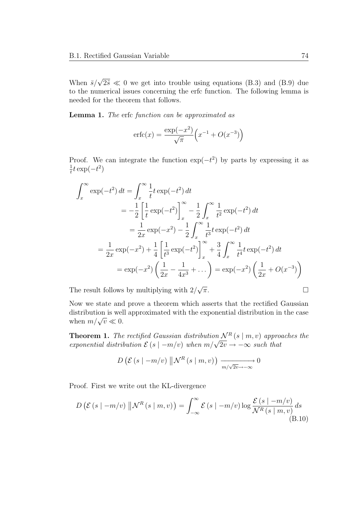When  $\bar{s}/\sqrt{2\tilde{s}} \ll 0$  we get into trouble using equations (B.3) and (B.9) due to the numerical issues concerning the erfc function. The following lemma is needed for the theorem that follows.

Lemma 1. The erfc function can be approximated as

$$
erfc(x) = \frac{\exp(-x^2)}{\sqrt{\pi}} \left( x^{-1} + O(x^{-3}) \right)
$$

Proof. We can integrate the function  $\exp(-t^2)$  by parts by expressing it as 1  $\frac{1}{t}t\exp(-t^2)$ 

$$
\int_{x}^{\infty} \exp(-t^{2}) dt = \int_{x}^{\infty} \frac{1}{t} t \exp(-t^{2}) dt
$$
  
\n
$$
= -\frac{1}{2} \left[ \frac{1}{t} \exp(-t^{2}) \right]_{x}^{\infty} - \frac{1}{2} \int_{x}^{\infty} \frac{1}{t^{2}} \exp(-t^{2}) dt
$$
  
\n
$$
= \frac{1}{2x} \exp(-x^{2}) - \frac{1}{2} \int_{x}^{\infty} \frac{1}{t^{3}} t \exp(-t^{2}) dt
$$
  
\n
$$
= \frac{1}{2x} \exp(-x^{2}) + \frac{1}{4} \left[ \frac{1}{t^{3}} \exp(-t^{2}) \right]_{x}^{\infty} + \frac{3}{4} \int_{x}^{\infty} \frac{1}{t^{4}} t \exp(-t^{2}) dt
$$
  
\n
$$
= \exp(-x^{2}) \left( \frac{1}{2x} - \frac{1}{4x^{3}} + \dots \right) = \exp(-x^{2}) \left( \frac{1}{2x} + O(x^{-3}) \right)
$$

The result follows by multiplying with  $2/\sqrt{ }$  $\overline{\pi}$ .

Now we state and prove a theorem which asserts that the rectified Gaussian distribution is well approximated with the exponential distribution in the case when  $m/\sqrt{v} \ll 0$ .

**Theorem 1.** The rectified Gaussian distribution  $\mathcal{N}^R(s \mid m, v)$  approaches the exponential distribution  $\mathcal{E}(s \mid -m/v)$  when  $m/\sqrt{2v} \rightarrow -\infty$  such that

$$
D\left(\mathcal{E}\left(s\mid -m/v\right)\parallel\mathcal{N}^{R}\left(s\mid m,v\right)\right)\xrightarrow[m/\sqrt{2v}\to -\infty]{} 0
$$

Proof. First we write out the KL-divergence

$$
D\left(\mathcal{E}\left(s \mid -m/v\right) \left\|\mathcal{N}^{R}\left(s \mid m, v\right)\right.\right) = \int_{-\infty}^{\infty} \mathcal{E}\left(s \mid -m/v\right) \log \frac{\mathcal{E}\left(s \mid -m/v\right)}{\mathcal{N}^{R}\left(s \mid m, v\right)} ds\tag{B.10}
$$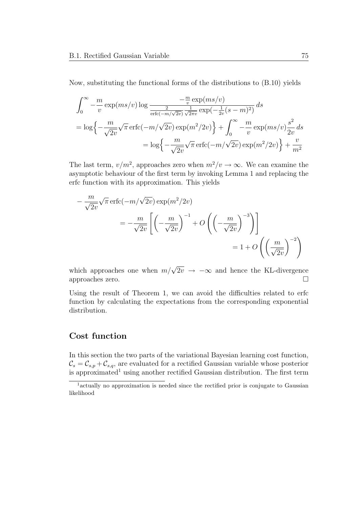Now, substituting the functional forms of the distributions to (B.10) yields

$$
\int_0^{\infty} -\frac{m}{v} \exp(ms/v) \log \frac{-\frac{m}{v} \exp(ms/v)}{\frac{2}{\text{erfc}(-m/\sqrt{2v})} \frac{1}{\sqrt{2\pi v}} \exp(-\frac{1}{2v}(s-m)^2)} ds
$$
  
=  $\log \left\{-\frac{m}{\sqrt{2v}}\sqrt{\pi} \operatorname{erfc}(-m/\sqrt{2v}) \exp(m^2/2v)\right\} + \int_0^{\infty} -\frac{m}{v} \exp(ms/v) \frac{s^2}{2v} ds$   
=  $\log \left\{-\frac{m}{\sqrt{2v}}\sqrt{\pi} \operatorname{erfc}(-m/\sqrt{2v}) \exp(m^2/2v)\right\} + \frac{v}{m^2}$ 

The last term,  $v/m^2$ , approaches zero when  $m^2/v \to \infty$ . We can examine the asymptotic behaviour of the first term by invoking Lemma 1 and replacing the erfc function with its approximation. This yields

$$
-\frac{m}{\sqrt{2v}}\sqrt{\pi}\operatorname{erfc}(-m/\sqrt{2v})\exp(m^2/2v)
$$
  
=  $-\frac{m}{\sqrt{2v}}\left[\left(-\frac{m}{\sqrt{2v}}\right)^{-1} + O\left(\left(-\frac{m}{\sqrt{2v}}\right)^{-3}\right)\right]$   
=  $1 + O\left(\left(\frac{m}{\sqrt{2v}}\right)^{-2}\right)$ 

which approaches one when  $m/\sqrt{2v} \rightarrow -\infty$  and hence the KL-divergence approaches zero.  $\Box$ 

Using the result of Theorem 1, we can avoid the difficulties related to erfc function by calculating the expectations from the corresponding exponential distribution.

#### Cost function

In this section the two parts of the variational Bayesian learning cost function,  $\mathcal{C}_s = \mathcal{C}_{s,p} + \mathcal{C}_{s,q}$ , are evaluated for a rectified Gaussian variable whose posterior is approximated<sup>1</sup> using another rectified Gaussian distribution. The first term

<sup>&</sup>lt;sup>1</sup> actually no approximation is needed since the rectified prior is conjugate to Gaussian likelihood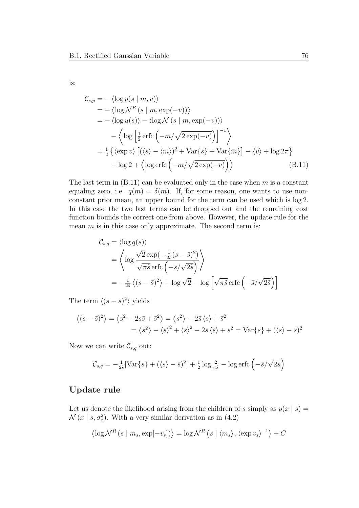is:

$$
\mathcal{C}_{s,p} = -\langle \log p(s \mid m, v) \rangle \n= -\langle \log \mathcal{N}^R(s \mid m, \exp(-v)) \rangle \n= -\langle \log u(s) \rangle - \langle \log \mathcal{N}(s \mid m, \exp(-v)) \rangle \n- \langle \log \left[ \frac{1}{2} \operatorname{erfc} \left( -m/\sqrt{2 \exp(-v)} \right) \right]^{-1} \rangle \n= \frac{1}{2} \{ \langle \exp v \rangle \left[ (\langle s \rangle - \langle m \rangle)^2 + \text{Var}\{s\} + \text{Var}\{m\} \right] - \langle v \rangle + \log 2\pi \} \n- \log 2 + \langle \log \operatorname{erfc} \left( -m/\sqrt{2 \exp(-v)} \right) \rangle
$$
\n(B.11)

The last term in  $(B.11)$  can be evaluated only in the case when m is a constant equaling zero, i.e.  $q(m) = \delta(m)$ . If, for some reason, one wants to use nonconstant prior mean, an upper bound for the term can be used which is log 2. In this case the two last terms can be dropped out and the remaining cost function bounds the correct one from above. However, the update rule for the mean  $m$  is in this case only approximate. The second term is:

$$
C_{s,q} = \langle \log q(s) \rangle
$$
  
=  $\left\langle \log \frac{\sqrt{2} \exp(-\frac{1}{2\tilde{s}}(s-\bar{s})^2)}{\sqrt{\pi \tilde{s}} \operatorname{erfc}(-\bar{s}/\sqrt{2\tilde{s}})} \right\rangle$   
=  $-\frac{1}{2\tilde{s}} \left\langle (s-\bar{s})^2 \right\rangle + \log \sqrt{2} - \log \left[ \sqrt{\pi \tilde{s}} \operatorname{erfc}(-\bar{s}/\sqrt{2\tilde{s}}) \right]$ 

The term  $\langle (s - \bar{s})^2 \rangle$  yields

$$
\langle (s-\bar{s})^2 \rangle = \langle s^2 - 2s\bar{s} + \bar{s}^2 \rangle = \langle s^2 \rangle - 2\bar{s} \langle s \rangle + \bar{s}^2
$$
  
=  $\langle s^2 \rangle - \langle s \rangle^2 + \langle s \rangle^2 - 2\bar{s} \langle s \rangle + \bar{s}^2 = \text{Var}\{s\} + (\langle s \rangle - \bar{s})^2$ 

Now we can write  $\mathcal{C}_{s,q}$  out:

$$
\mathcal{C}_{s,q} = -\frac{1}{2\tilde{s}} \left[ \text{Var}\{s\} + (\langle s \rangle - \bar{s})^2 \right] + \frac{1}{2} \log \frac{2}{\pi \tilde{s}} - \log \text{erfc} \left( -\bar{s} / \sqrt{2\tilde{s}} \right)
$$

### Update rule

Let us denote the likelihood arising from the children of s simply as  $p(x | s) =$  $\mathcal{N}(x \mid s, \sigma_x^2)$ . With a very similar derivation as in (4.2)

$$
\left\langle \log \mathcal{N}^{R}(s \mid m_s, \exp[-v_s]) \right\rangle = \log \mathcal{N}^{R}(s \mid \left\langle m_s \right\rangle, \left\langle \exp v_s \right\rangle^{-1}) + C
$$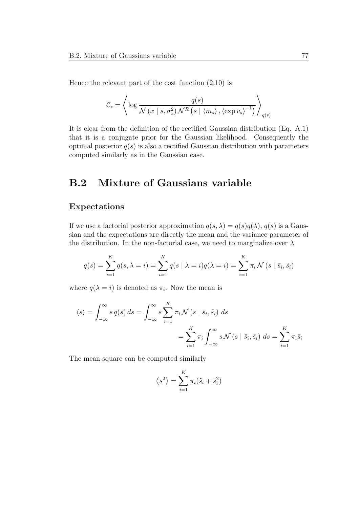Hence the relevant part of the cost function (2.10) is

$$
\mathcal{C}_{s} = \left\langle \log \frac{q(s)}{\mathcal{N}\left(x \mid s, \sigma_{x}^{2}\right) \mathcal{N}^{R}\left(s \mid \langle m_{s} \rangle, \langle \exp v_{s} \rangle^{-1}\right)} \right\rangle_{q(s)}
$$

It is clear from the definition of the rectified Gaussian distribution (Eq. A.1) that it is a conjugate prior for the Gaussian likelihood. Consequently the optimal posterior  $q(s)$  is also a rectified Gaussian distribution with parameters computed similarly as in the Gaussian case.

# B.2 Mixture of Gaussians variable

#### Expectations

If we use a factorial posterior approximation  $q(s, \lambda) = q(s)q(\lambda), q(s)$  is a Gaussian and the expectations are directly the mean and the variance parameter of the distribution. In the non-factorial case, we need to marginalize over  $\lambda$ 

$$
q(s) = \sum_{i=1}^{K} q(s, \lambda = i) = \sum_{i=1}^{K} q(s | \lambda = i) q(\lambda = i) = \sum_{i=1}^{K} \pi_i \mathcal{N}(s | \bar{s}_i, \tilde{s}_i)
$$

where  $q(\lambda = i)$  is denoted as  $\pi_i$ . Now the mean is

$$
\langle s \rangle = \int_{-\infty}^{\infty} s q(s) ds = \int_{-\infty}^{\infty} s \sum_{i=1}^{K} \pi_i \mathcal{N}(s | \bar{s}_i, \tilde{s}_i) ds
$$
  
= 
$$
\sum_{i=1}^{K} \pi_i \int_{-\infty}^{\infty} s \mathcal{N}(s | \bar{s}_i, \tilde{s}_i) ds = \sum_{i=1}^{K} \pi_i \bar{s}_i
$$

The mean square can be computed similarly

$$
\langle s^2 \rangle = \sum_{i=1}^K \pi_i (\tilde{s}_i + \bar{s}_i^2)
$$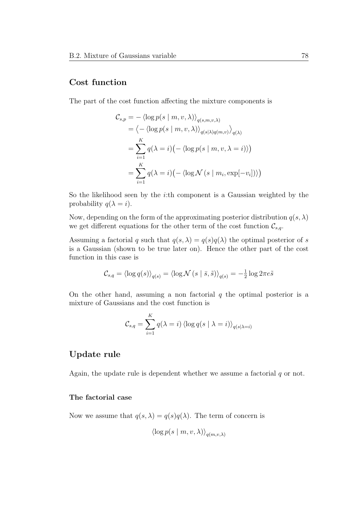### Cost function

The part of the cost function affecting the mixture components is

$$
\mathcal{C}_{s,p} = -\langle \log p(s \mid m, v, \lambda) \rangle_{q(s,m,v,\lambda)}
$$
  
=  $\langle -\langle \log p(s \mid m, v, \lambda) \rangle_{q(s \mid \lambda) q(m,v)} \rangle_{q(\lambda)}$   
=  $\sum_{i=1}^{K} q(\lambda = i) (-\langle \log p(s \mid m, v, \lambda = i) \rangle)$   
=  $\sum_{i=1}^{K} q(\lambda = i) (-\langle \log \mathcal{N}(s \mid m_i, \exp[-v_i]) \rangle)$ 

So the likelihood seen by the i:th component is a Gaussian weighted by the probability  $q(\lambda = i)$ .

Now, depending on the form of the approximating posterior distribution  $q(s, \lambda)$ we get different equations for the other term of the cost function  $\mathcal{C}_{s,q}$ .

Assuming a factorial q such that  $q(s,\lambda) = q(s)q(\lambda)$  the optimal posterior of s is a Gaussian (shown to be true later on). Hence the other part of the cost function in this case is

$$
\mathcal{C}_{s,q} = \langle \log q(s) \rangle_{q(s)} = \langle \log \mathcal{N}(s \mid \bar{s}, \tilde{s}) \rangle_{q(s)} = -\frac{1}{2} \log 2\pi e \tilde{s}
$$

On the other hand, assuming a non factorial  $q$  the optimal posterior is a mixture of Gaussians and the cost function is

$$
C_{s,q} = \sum_{i=1}^{K} q(\lambda = i) \langle \log q(s \mid \lambda = i) \rangle_{q(s|\lambda = i)}
$$

#### Update rule

Again, the update rule is dependent whether we assume a factorial  $q$  or not.

#### The factorial case

Now we assume that  $q(s, \lambda) = q(s)q(\lambda)$ . The term of concern is

$$
\langle \log p(s \mid m, v, \lambda) \rangle_{q(m, v, \lambda)}
$$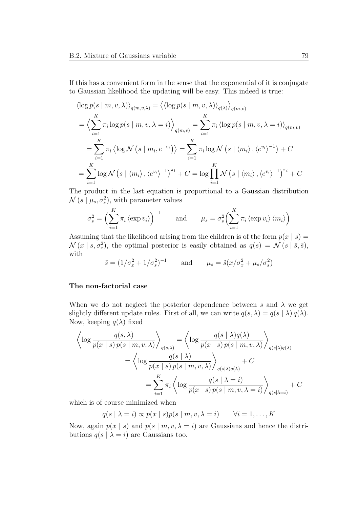If this has a convenient form in the sense that the exponential of it is conjugate to Gaussian likelihood the updating will be easy. This indeed is true:

$$
\langle \log p(s \mid m, v, \lambda) \rangle_{q(m, v, \lambda)} = \langle \langle \log p(s \mid m, v, \lambda) \rangle_{q(\lambda)} \rangle_{q(m, v)}
$$
  
=  $\langle \sum_{i=1}^{K} \pi_i \log p(s \mid m, v, \lambda = i) \rangle_{q(m, v)} = \sum_{i=1}^{K} \pi_i \langle \log p(s \mid m, v, \lambda = i) \rangle_{q(m, v)}$   
=  $\sum_{i=1}^{K} \pi_i \langle \log \mathcal{N}(s \mid m_i, e^{-v_i}) \rangle = \sum_{i=1}^{K} \pi_i \log \mathcal{N}(s \mid \langle m_i \rangle, \langle e^{v_i} \rangle^{-1}) + C$   
=  $\sum_{i=1}^{K} \log \mathcal{N}(s \mid \langle m_i \rangle, \langle e^{v_i} \rangle^{-1})^{\pi_i} + C = \log \prod_{i=1}^{K} \mathcal{N}(s \mid \langle m_i \rangle, \langle e^{v_i} \rangle^{-1})^{\pi_i} + C$ 

The product in the last equation is proportional to a Gaussian distribution  $\mathcal{N}(s \mid \mu_s, \sigma_s^2)$ , with parameter values

$$
\sigma_s^2 = \left(\sum_{i=1}^K \pi_i \langle \exp v_i \rangle\right)^{-1} \quad \text{and} \quad \mu_s = \sigma_s^2 \left(\sum_{i=1}^K \pi_i \langle \exp v_i \rangle \langle m_i \rangle\right)
$$

Assuming that the likelihood arising from the children is of the form  $p(x | s) =$  $\mathcal{N}(x \mid s, \sigma_x^2)$ , the optimal posterior is easily obtained as  $q(s) = \mathcal{N}(s \mid \bar{s}, \tilde{s})$ , with

$$
\tilde{s} = (1/\sigma_x^2 + 1/\sigma_s^2)^{-1}
$$
 and  $\mu_s = \tilde{s}(x/\sigma_x^2 + \mu_s/\sigma_s^2)$ 

#### The non-factorial case

When we do not neglect the posterior dependence between s and  $\lambda$  we get slightly different update rules. First of all, we can write  $q(s,\lambda) = q(s | \lambda) q(\lambda)$ . Now, keeping  $q(\lambda)$  fixed

$$
\left\langle \log \frac{q(s,\lambda)}{p(x \mid s) p(s \mid m, v, \lambda)} \right\rangle_{q(s,\lambda)} = \left\langle \log \frac{q(s \mid \lambda) q(\lambda)}{p(x \mid s) p(s \mid m, v, \lambda)} \right\rangle_{q(s \mid \lambda) q(\lambda)} \n= \left\langle \log \frac{q(s \mid \lambda)}{p(x \mid s) p(s \mid m, v, \lambda)} \right\rangle_{q(s \mid \lambda) q(\lambda)} + C \n= \sum_{i=1}^{K} \pi_i \left\langle \log \frac{q(s \mid \lambda = i)}{p(x \mid s) p(s \mid m, v, \lambda = i)} \right\rangle_{q(s \mid \lambda = i)} + C
$$

which is of course minimized when

$$
q(s | \lambda = i) \propto p(x | s) p(s | m, v, \lambda = i) \qquad \forall i = 1, ..., K
$$

Now, again  $p(x | s)$  and  $p(s | m, v, \lambda = i)$  are Gaussians and hence the distributions  $q(s | \lambda = i)$  are Gaussians too.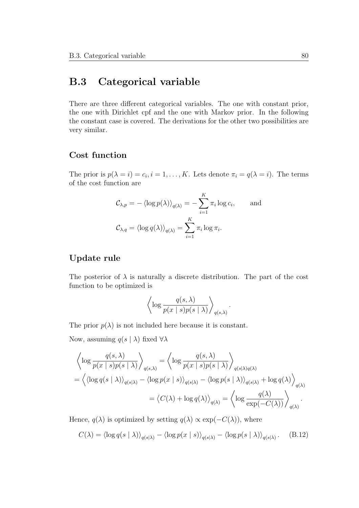## B.3 Categorical variable

There are three different categorical variables. The one with constant prior, the one with Dirichlet cpf and the one with Markov prior. In the following the constant case is covered. The derivations for the other two possibilities are very similar.

### Cost function

The prior is  $p(\lambda = i) = c_i, i = 1, ..., K$ . Lets denote  $\pi_i = q(\lambda = i)$ . The terms of the cost function are

$$
\mathcal{C}_{\lambda,p} = - \langle \log p(\lambda) \rangle_{q(\lambda)} = - \sum_{i=1}^{K} \pi_i \log c_i, \quad \text{and}
$$

$$
\mathcal{C}_{\lambda,q} = \langle \log q(\lambda) \rangle_{q(\lambda)} = \sum_{i=1}^{K} \pi_i \log \pi_i.
$$

## Update rule

The posterior of  $\lambda$  is naturally a discrete distribution. The part of the cost function to be optimized is

$$
\left\langle \log \frac{q(s,\lambda)}{p(x \mid s)p(s \mid \lambda)} \right\rangle_{q(s,\lambda)}
$$

.

The prior  $p(\lambda)$  is not included here because it is constant.

Now, assuming  $q(s | \lambda)$  fixed  $\forall \lambda$ 

$$
\left\langle \log \frac{q(s,\lambda)}{p(x \mid s)p(s \mid \lambda)} \right\rangle_{q(s,\lambda)} = \left\langle \log \frac{q(s,\lambda)}{p(x \mid s)p(s \mid \lambda)} \right\rangle_{q(s \mid \lambda)q(\lambda)}
$$

$$
= \left\langle \left\langle \log q(s \mid \lambda) \right\rangle_{q(s \mid \lambda)} - \left\langle \log p(x \mid s) \right\rangle_{q(s \mid \lambda)} - \left\langle \log p(s \mid \lambda) \right\rangle_{q(s \mid \lambda)} + \log q(\lambda) \right\rangle_{q(\lambda)}
$$

$$
= \left\langle C(\lambda) + \log q(\lambda) \right\rangle_{q(\lambda)} = \left\langle \log \frac{q(\lambda)}{\exp(-C(\lambda))} \right\rangle_{q(\lambda)}.
$$

Hence,  $q(\lambda)$  is optimized by setting  $q(\lambda) \propto \exp(-C(\lambda))$ , where

$$
C(\lambda) = \langle \log q(s \mid \lambda) \rangle_{q(s|\lambda)} - \langle \log p(x \mid s) \rangle_{q(s|\lambda)} - \langle \log p(s \mid \lambda) \rangle_{q(s|\lambda)}.
$$
 (B.12)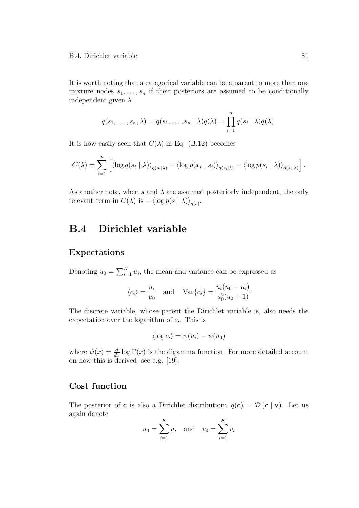It is worth noting that a categorical variable can be a parent to more than one mixture nodes  $s_1, \ldots, s_n$  if their posteriors are assumed to be conditionally independent given  $\lambda$ 

$$
q(s_1,\ldots,s_n,\lambda)=q(s_1,\ldots,s_n\mid\lambda)q(\lambda)=\prod_{i=1}^n q(s_i\mid\lambda)q(\lambda).
$$

It is now easily seen that  $C(\lambda)$  in Eq. (B.12) becomes

$$
C(\lambda) = \sum_{i=1}^n \left[ \langle \log q(s_i \mid \lambda) \rangle_{q(s_i \mid \lambda)} - \langle \log p(x_i \mid s_i) \rangle_{q(s_i \mid \lambda)} - \langle \log p(s_i \mid \lambda) \rangle_{q(s_i \mid \lambda)} \right].
$$

As another note, when s and  $\lambda$  are assumed posteriorly independent, the only relevant term in  $C(\lambda)$  is  $-\langle \log p(s | \lambda) \rangle_{q(s)}$ .

# B.4 Dirichlet variable

#### Expectations

Denoting  $u_0 = \sum_{i=1}^K u_i$ , the mean and variance can be expressed as

$$
\langle c_i \rangle = \frac{u_i}{u_0}
$$
 and  $\text{Var}\{c_i\} = \frac{u_i(u_0 - u_i)}{u_0^2(u_0 + 1)}$ 

The discrete variable, whose parent the Dirichlet variable is, also needs the expectation over the logarithm of  $c_i$ . This is

$$
\langle \log c_i \rangle = \psi(u_i) - \psi(u_0)
$$

where  $\psi(x) = \frac{d}{dx} \log \Gamma(x)$  is the digamma function. For more detailed account on how this is derived, see e.g. [19].

### Cost function

The posterior of **c** is also a Dirichlet distribution:  $q(c) = \mathcal{D}(c | v)$ . Let us again denote

$$
u_0 = \sum_{i=1}^K u_i
$$
 and  $v_0 = \sum_{i=1}^K v_i$